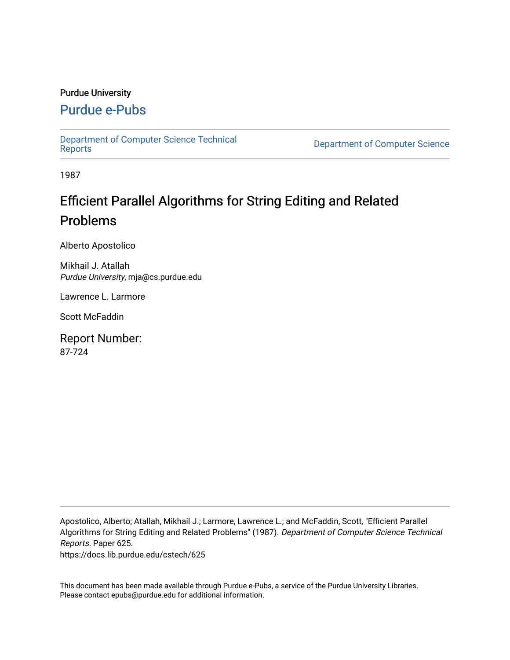#### Purdue University

## [Purdue e-Pubs](https://docs.lib.purdue.edu/)

[Department of Computer Science Technical](https://docs.lib.purdue.edu/cstech) 

**Department of Computer Science** 

1987

# Efficient Parallel Algorithms for String Editing and Related Problems

Alberto Apostolico

Mikhail J. Atallah Purdue University, mja@cs.purdue.edu

Lawrence L. Larmore

Scott McFaddin

Report Number: 87-724

Apostolico, Alberto; Atallah, Mikhail J.; Larmore, Lawrence L.; and McFaddin, Scott, "Efficient Parallel Algorithms for String Editing and Related Problems" (1987). Department of Computer Science Technical Reports. Paper 625.

https://docs.lib.purdue.edu/cstech/625

This document has been made available through Purdue e-Pubs, a service of the Purdue University Libraries. Please contact epubs@purdue.edu for additional information.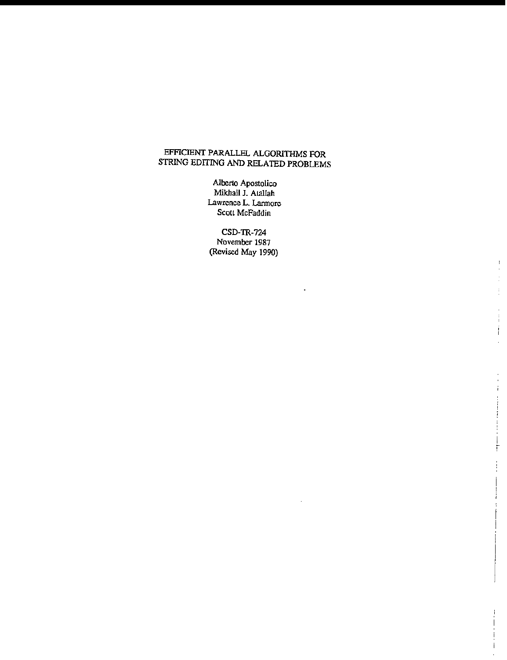## EFFICIENT PARALLEL ALGORITHMS FOR STRING EDITING AND RELATED PROBLEMS

**Alberto Apostolico** Mikhail J. Atallah **Lawrence L. Larmore Scott McFaddin**

CSD-TR-724 **November 1987 (Revised May 1990)**

 $\mathbf{r}$ 

 $\mathbf{1}$  $\ddot{\phantom{a}}$  $\frac{1}{2}$  $\frac{1}{2}$ 

 $\bar{1}$  $\frac{1}{4}$ İ t,

÷

Ţ ÷

F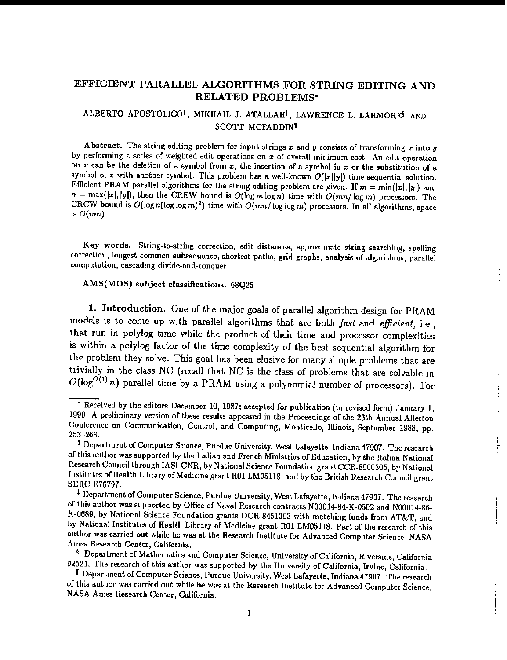## EFFICIENT PARALLEL ALGORITHMS FOR STRING EDITING AND RELATED PROBLEMS·

#### ALBERTO APOSTOLICO', MIKHAIL J. ATALLAH', LAWRENCE L. LARMORE' AND SCOTT MCFADDIN'

Abstract. The string editing problem for input strings *x* and *y* consists of transforming *x* into *y* by performing a series of weighted edit operations on *x* of overall minimum cost. An edit operation on *x* can be the deletion of a symbol from *x,* the insertion of a symbol in *x* or the substitution of a symbol of x with another symbol. This problem has a well-known  $O(|x||y|)$  time sequential solution. Efficient PRAM parallel algorithms for the string editing problem are given. If  $m = \min(|x|, |y|)$  and  $n = \max(|x|, |y|)$ , then the CREW bound is  $O(\log m \log n)$  time with  $O(mn/\log m)$  processors. The CRCW bound is  $O(\log n(\log \log m)^2)$  time with  $O(mn/\log \log m)$  processors. In all algorithms, space is  $O(mn)$ .

Key words. String-to-string correction, edit distances, approximate string searching, spelling correction, longest common subsequence, shortest paths, grid graphs, analysis of algorithms, parallel computation, cascading divide-and-conquer

÷

Ť

#### AMS(MOS) subject classifications. 68Q25

1. Introduction. One of the major goals of parallel algorithm design for PRAM models is to come up *with* parallel algorithms that are both *fast* and *efficient,* i.e., that run in polylog time while the product of their time and processor complexities is within a polylog factor of the time complexity of the best sequential algorithm for the problem they solve. This goal has been elusive for many simple problems that are trivially in the class NC (recall that NC is the class of problems that are solvable in  $O(\log^{O(1)} n)$  parallel time by a PRAM using a polynomial number of processors). For

 $\overline{\phantom{a}}$  Received by the editors December 10, 1987; accepted for publication (in revised form) January  $1$ , 1990. A preliminary version of these results appeared in the Proceedings of the 26th Annual Allerton Conference on Communication, Control, and Computing, Monticello, Illinois, September 1988, pp. 253-263.

f Department ofComputer Science, Purdue University, West Lafayette, Indiana 47907. The research of this author was supported by the Italian and French Ministries of Education, by the Italian National Research Council through IASI-CNR, by National Science Foundation grant CCR-8900305, by National Institutes of Health Library of Medicine grant ROl LM05118, and by the British Research Council grant. SERC-E76797.

t Department of Computer Science, Purdue University, West Lafayette, Indiana 47907. The research of this author was supported by Office of Naval Research contracts N00014-84-K-0502 and N00014-86-K·0689, by National Science Foundation grants DCR-8451393 with matching funds from AT&T, and by National Institutes of Health Library of Medicine grant R01 LM05118. Part of the research of this author was carried out while he was at the Research Institute for Advanced Computer Science, NASA Ames Research Center, California.

<sup>§</sup> Department of Mathematics and Computer Science, University of California, Riverside, California D2521. The research of this author was supported by the University of California, Irvine, California.

<sup>&#</sup>x27;II Department of Computer Science, Purdue University, West Lafayette, Indiana 47907. The research of this author was carried out while he was at the Research Institute for Advanced Computer Science, NASA Ames Research Center, California.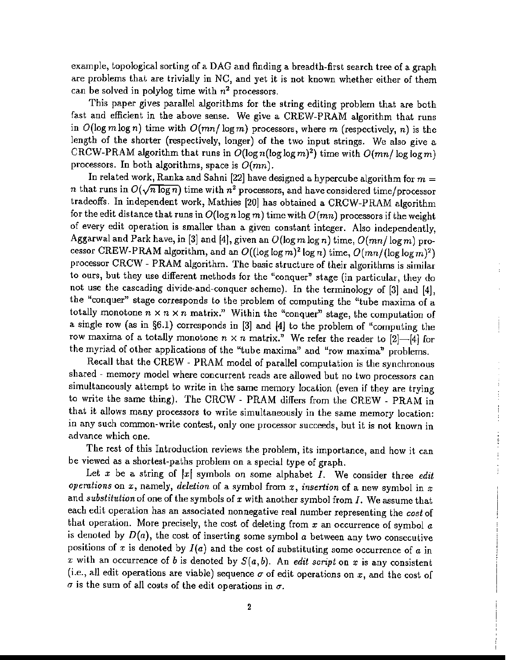example, topological sorting of a DAG and finding a breadth-first search tree of a graph are problems that are trivially in NC, and yet it is not known whether either of them can be solved in polylog time with *n<sup>2</sup>* processors.

This paper gives parallel algorithms for the string editing problem *that* are both fast and efficient in the above sense. We give a CREW-PRAM algorithm *that* runs in  $O(\log m \log n)$  time with  $O(mn/\log m)$  processors, where m (respectively, n) is the length of the shorter (respectively, longer) of the two input strings. We also give a CRCW-PRAM algorithm that runs in  $O(\log n(\log \log m)^2)$  time with  $O(mn/\log \log m)$ processors. In both algorithms, space is  $O(mn)$ .

In related work, Ranka and Sahni [22] have designed a hypercube algorithm for  $m =$ *n* that runs in  $O(\sqrt{n \log n})$  time with  $n^2$  processors, and have considered time/processor tradeoffs. In independent work, Mathies [20] has obtained a CRCW-PRAM algorithm for the edit distance that runs in  $O(\log n \log m)$  time with  $O(mn)$  processors if the weight of every edit operation is smaller than a given constant integer. Also independently, Aggarwal and Park have, in [3] and [4], given an  $O(\log m \log n)$  time,  $O(mn/\log m)$  processor CREW-PRAM algorithm, and an  $O((\log \log m)^2 \log n)$  time,  $O(mn/(\log \log m)^2)$ processor CRCW - PRAM algorithm. The basic structure of their algorithms is similar to ours, but they use different methods for the "conquer" stage (in particular, they do not use the cascading divide·and-conquer scheme). In the terminology of [3] and [4], the "conquer" stage corresponds to the problem of computing the "tube maxima of a totally monotone  $n \times n \times n$  matrix." Within the "conquer" stage, the computation of a single row (as in §6.1) corresponds in [3] and {4] to the problem of "computing the row maxima of a totally monotone  $n \times n$  matrix." We refer the reader to [2]-[4] for the myriad of other applications of the "tube maxima" and "row maxima" problems.

Recall that the CREW - PRAM model of parallel computation is the synchronous shared - memory model where concurrent reads are allowed but no two processors can simultaneously attempt to write in the same memory location (even if they are trying to write the same thing). The CRCW - PRAM differs from the CREW - PRAM in that it allows many processors to write simultaneously in the same memory location: in any such common-write contest, only one processor succeeds, but it is not known in advance which one.

The rest of this Introduction reviews the problem, its importance, and how it can be viewed as a shortest-paths problem on a special type of graph.

-.

 $\begin{array}{c} \begin{array}{c} \bullet \\ \bullet \\ \bullet \end{array} \end{array}$ 

Let  $x$  be a string of  $|x|$  symbols on some alphabet  $I$ . We consider three *edit operations* on *x,* namely, *deletion* of a symbol from *x, insertion* of a new symbol in *x* and *substitution* of one of the symbols of *x* with another symbol from *I.* We assume that each edit operation has an associated nonnegative real number representing the *cost* of that operation. More precisely, the cost of deleting from  $x$  an occurrence of symbol  $a$ is denoted by  $D(a)$ , the cost of inserting some symbol a between any two consecutive positions of  $x$  is denoted by  $I(a)$  and the cost of substituting some occurrence of  $a$  in x with an occurrence of *b* is denoted by  $S(a, b)$ . An *edit script* on x is any consistent (i.e., all edit operations are viable) sequence  $\sigma$  of edit operations on  $x$ , and the cost of  $\sigma$  is the sum of all costs of the edit operations in  $\sigma$ .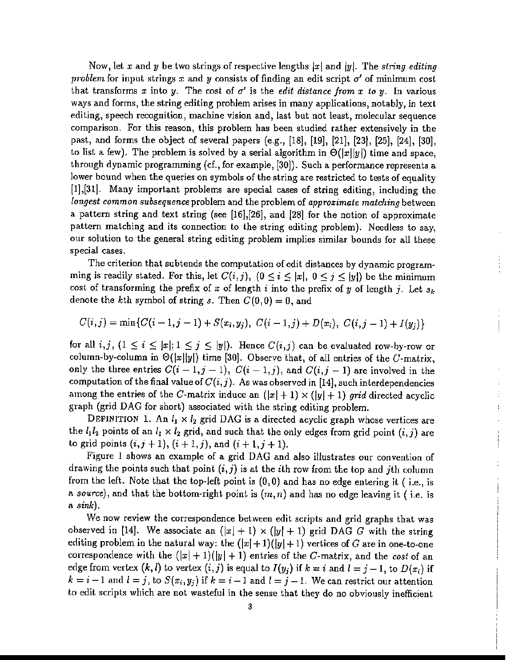Now, let *x* and y be two strings of respective lengths Ixl and jyl. The *siring editing problem* for input strings  $x$  and  $y$  consists of finding an edit script  $\sigma'$  of minimum cost that transforms x into y. The cost of  $\sigma'$  is the *edit distance from* x to y. In various ways and forms, the string editing problem arises in many applications, notably, in text editing, speech recognition, machine vision and, last but not least, molecular sequence comparison. For this reason, this problem has been studied rather extensively in the post, and forms the object of several papers (e.g., [18], [19], [21], [23), [25], [241, [30], to list a few). The problem is solved by a serial algorithm in  $\Theta(|x||y|)$  time and space, through dynamic programming (cf., for example, [30]). Such a performance represents a lower bound when the queries on symbols of the string are restricted to tests of equality [1],[31]. Many important problems are special cases of string editing, including the *longest common subsequence* problem and the problem of *approximate matching* between a pattern string and text string (see [16],[26], and {28] for the notion of approximate pattern matching and its connection to the string editing problem). Needless to say, our solution to the general string editing problem implies similar bounds for all these special cases.

The criterion that subtends the computation of edit distances by dynamic programming is readily stated. For this, let  $C(i,j)$ ,  $(0 \le i \le |x|, 0 \le j \le |y|)$  be the minimum cost of transforming the prefix of  $x$  of length  $i$  into the prefix of  $y$  of length  $j$ . Let  $s_k$ denote the kth symbol of string *s*. Then  $C(0,0) = 0$ , and

$$
C(i,j) = \min\{C(i-1,j-1) + S(x_i,y_j), C(i-1,j) + D(x_i), C(i,j-1) + I(y_j)\}\
$$

for all  $i,j$ ,  $(1 \le i \le |x|; 1 \le j \le |y|)$ . Hence  $C(i,j)$  can be evaluated row-by-row or column-by-column in  $\Theta(|x||y|)$  time [30]. Observe that, of all entries of the C-matrix, only the three entries  $C(i-1,j-1)$ ,  $C(i-1,j)$ , and  $C(i,j-1)$  are involved in the computation of the final value of  $C(i,j)$ . As was observed in [14], such interdependencies among the entries of the C-matrix induce an  $(|x|+1) \times (|y|+1)$  grid directed acyclic graph (grid DAG for short) associated with the string editing problem.

DEFINITION 1. An  $l_1 \times l_2$  grid DAG is a directed acyclic graph whose vertices are the  $l_1l_2$  points of an  $l_1 \times l_2$  grid, and such that the only edges from grid point  $(i,j)$  are to grid points  $(i, j + 1)$ ,  $(i + 1, j)$ , and  $(i + 1, j + 1)$ .

 $\ddot{\phantom{0}}$ 

Figure 1 shows an example of a grid DAG and also illustrates our convention of drawing the points such that point  $(i, j)$  is at the *i*th row from the top and *j*th column from the left. Note that the top-left point is (0,0) and has no edge entering it ( i.e., is a *source*), and that the bottom-right point is  $(m, n)$  and has no edge leaving it (i.e. is a *sink).*

We now review the correspondence between edit scripts and grid graphs that was observed in [14]. We associate an  $(|x| + 1) \times (|y| + 1)$  grid DAG G with the string editing problem in the natural way: the  $(|x|+1)(|y|+1)$  vertices of G are in one-to-one correspondence with the  $(|x| + 1)(|y| + 1)$  entries of the C-matrix, and the cost of an edge from vertex  $(k, l)$  to vertex  $(i, j)$  is equal to  $I(y_j)$  if  $k = i$  and  $l = j - 1$ , to  $D(x_i)$  if  $k = i - 1$  and  $l = j$ , to  $S(x_i, y_j)$  if  $k = i - 1$  and  $l = j - 1$ . We can restrict our attention to edit scripts which are not wasteful in the sense that they do no obviously inefficient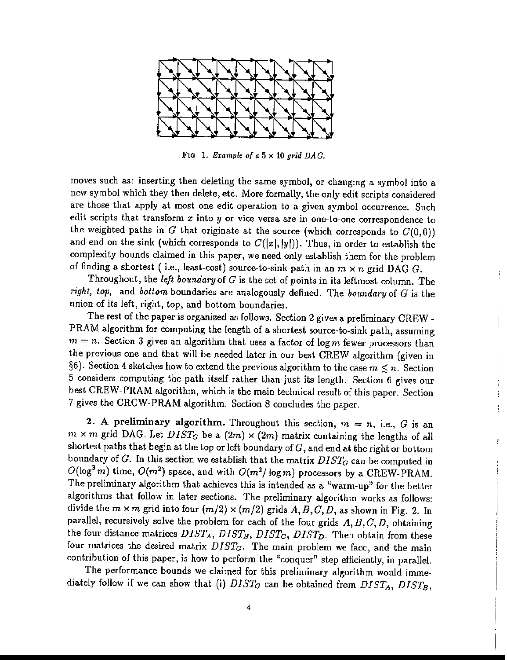

FIG. 1. *Example of a* 5 x 10 *grid DAG.*

moves such as: inserting then deleting the same symbol, or changing a symbol into a new symbol which they then delete, etc. More formally, the only edit scripts considered are those that apply at most one edit operation to a given symbol occurrence. Such edit scripts that transform *x* into y or vice versa are in one-to-one correspondence to the weighted paths in G that originate at the source (which corresponds to  $C(0,0)$ ) and end on the sink (which corresponds to  $C(|x|, |y|)$ ). Thus, in order to establish the complexity bounds claimed in this paper, we need only establish them for the problem of finding a shortest (i.e., least-cost) source-to-sink path in an  $m \times n$  grid DAG G.

Throughout, the *left boundary* of G is the set of points in its leftmost column. The *right, top,* and *bottom* boundaries are analogously defined. The *boundary* of G is the union of its left, right, top, and bottom boundaries.

Ť

ŧ  $\ddot{\ddot{\mathrm{r}}}$ ł

ł

The rest of the paper is organized as follows. Section 2 gives a preliminary CREW - PRAM algorithm for computing the length of a shortest source-to-sink path, assuming  $m = n$ . Section 3 gives an algorithm that uses a factor of  $\log m$  fewer processors than the previous one and that will be needed later in our best CREW algorithm (given in §6). Section 4 sketches how to extend the previous algorithm to the case  $m \leq n$ . Section 5 considers computing the path itself rather than just its length. Section 6 gives our best CREW-PRAM algorithm, which is the main technical result of this paper. Section 7 gives the CRCW-PRAM algorithm. Section 8 concludes the paper.

2. A preliminary algorithm. Throughout this section,  $m = n$ , i.e., G is an  $m \times m$  grid DAG. Let  $DIST_G$  be a  $(2m) \times (2m)$  matrix containing the lengths of all shortest paths that begin at the top or left boundary of  $G$ , and end at the right or bottom boundary of G. In this section we establish that the matrix  $DIST_G$  can be computed in  $O(\log^3 m)$  time,  $O(m^2)$  space, and with  $O(m^2/\log m)$  processors by a CREW-PRAM. The preliminary algorithm that achieves this is intended as a "warm-up" for the better algorithms that follow in later sections. The preliminary algorithm works as follows: divide the  $m \times m$  grid into four  $(m/2) \times (m/2)$  grids  $A, B, C, D$ , as shown in Fig. 2. In parallel, recursively solve the problem for each of the four grids *A,B,C,D,* obtaining the four distance matrices  $DIST_A$ ,  $DIST_B$ ,  $DIST_C$ ,  $DIST_D$ . Then obtain from these four matrices the desired matrix *DISTa.* The main problem we face, and the main contribution of this paper, is how to perform the "conquer" step efficiently, in parallel.

The performance bounds we claimed for this preliminary algorithm would immediately follow if we can show that (i)  $DIST_G$  can be obtained from  $DIST_A$ ,  $DIST_B$ ,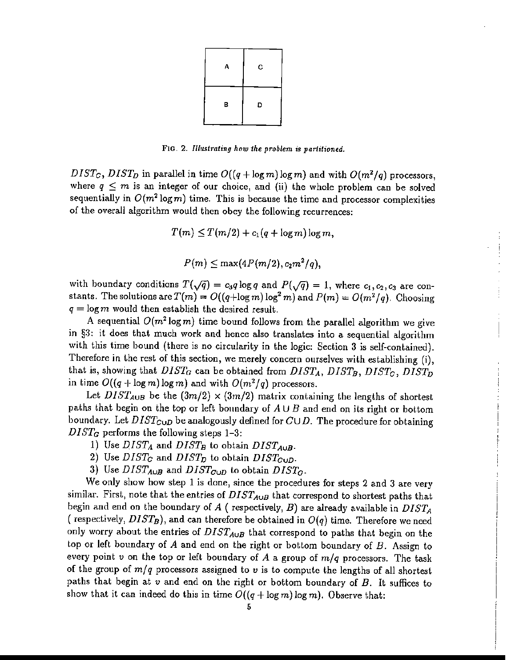

FIG. 2. *Ilfustrat1ng how the problem is partitioned.*

 $DIST_C$ ,  $DIST_D$  in parallel in time  $O((q + \log m) \log m)$  and with  $O(m^2/q)$  processors, where  $q \leq m$  is an integer of our choice, and (ii) the whole problem can be solved sequentially in  $O(m^2 \log m)$  time. This is because the time and processor complexities of the overall algorithm would then obey the following recurrences:

$$
T(m) \leq T(m/2) + c_1(q + \log m) \log m,
$$

$$
P(m) \leq \max(4P(m/2), c_2m^2/q),
$$

with boundary conditions  $T(\sqrt{q}) = c_3q \log q$  and  $P(\sqrt{q}) = 1$ , where  $c_1, c_2, c_3$  are constants. The solutions are  $T(m) = O((q + \log m) \log^2 m)$  and  $P(m) = O(m^2/q)$ . Choosing  $q = \log m$  would then establish the desired result.

A sequential  $O(m^2 \log m)$  time bound follows from the parallel algorithm we give in §3: it does that much work and hence also translates into a sequential algorithm with this time bound (there is no circularity in the logic: Section 3 is self-contained). Therefore in the rest of this section, we merely concern ourselves with establishing (i), that is, showing that  $DIST_G$  can be obtained from  $DIST_A$ ,  $DIST_B$ ,  $DIST_C$ ,  $DIST_D$ in time  $O((q + \log m) \log m)$  and with  $O(m^2/q)$  processors.

Let  $DIST_{A\cup B}$  be the  $(3m/2) \times (3m/2)$  matrix containing the lengths of shortest paths that begin on the top or left boundary of  $A \cup B$  and end on its right or bottom boundary. Let  $DIST_{\text{CUD}}$  be analogously defined for  $C \cup D$ . The procedure for obtaining *DISTG* performs the following steps 1-3:

- 1) Use  $DIST_A$  and  $DIST_B$  to obtain  $DIST_{A \cup B}$ .
- 2) Use  $DIST_C$  and  $DIST_D$  to obtain  $DIST_{CUD}$ .
- 3) Use  $DIST_{A\cup B}$  and  $DIST_{G\cup D}$  to obtain  $DIST_G$ .

We only show how step 1 is done, since the procedures for steps 2 and 3 are very similar. First, note that the entries of  $DIST_{A\cup B}$  that correspond to shortest paths that begin and end on the boundary of *A* ( respectively, *B)* are already available in *DISTA* (respectively,  $DIST_B$ ), and can therefore be obtained in  $O(q)$  time. Therefore we need only worry about the entries of *DISTAuB* that correspond to paths that begin on the top or left boundary of *A* and end on the right or bottom boundary of *B.* Assign to every point  $v$  on the top or left boundary of  $A$  a group of  $m/q$  processors. The task of the group of m/*q* processors assigned to *v* is to compute the lengths of all shortest paths that begin at *v* and end on the right or bottom boundary of *B.* It suffices to show that it can indeed do this in time  $O((q + \log m) \log m)$ . Observe that: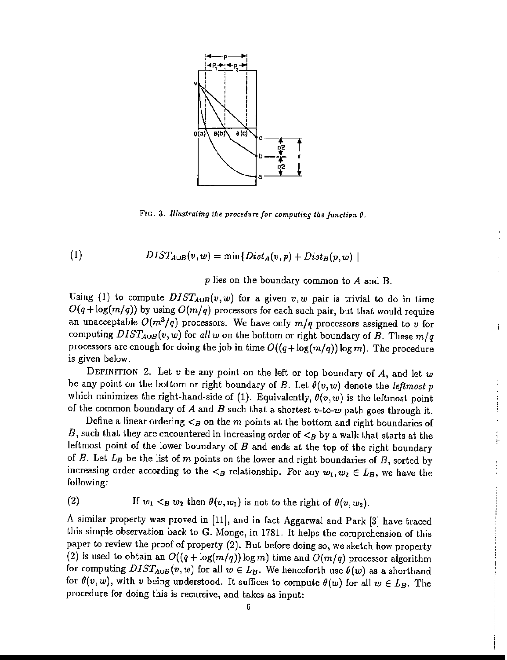

FIG. 3. *Illustrating the procedure jor computing the Junction* ().

(1) 
$$
DIST_{A\cup B}(v, w) = \min\{Dist_A(v, p) + Dist_B(p, w) \mid
$$

p lies on the boundary common to A and B.

İ.

 $\frac{1}{\Gamma}$ 

Using (1) to compute  $DIST_{A\cup B}(v, w)$  for a given  $v, w$  pair is trivial to do in time  $O(q + \log(m/q))$  by using  $O(m/q)$  processors for each such pair, but that would require an unacceptable  $O(m^3/q)$  processors. We have only  $m/q$  processors assigned to *v* for computing  $DIST_{A\cup B}(v, w)$  for all w on the bottom or right boundary of *B*. These  $m/q$ processors are enough for doing the job in time  $O((q+\log(m/q))\log m)$ . The procedure is given below.

DEFINITION 2. Let *v* be any point on the left or top boundary of A, and let *w* be any point on the bottom or right boundary of  $B$ . Let  $\theta(v,w)$  denote the *leftmost*  $p$ which minimizes the right-hand-side of (1). Equivalently,  $\theta(v, w)$  is the leftmost point of the common boundary of *A* and *B* such that a shortest *v-to-w* path goes through it.

Define a linear ordering  $\lt_B$  on the m points at the bottom and right boundaries of B, such that they are encountered in increasing order of  $\lt_B$  by a walk that starts at the leftmost point of the lower boundary of  $B$  and ends at the top of the right boundary of B. Let  $L_B$  be the list of m points on the lower and right boundaries of B, sorted by increasing order according to the  $\lt_B$  relationship. For any  $w_1, w_2 \in L_B$ , we have the following:

(2) If 
$$
w_1 <_B w_2
$$
 then  $\theta(v, w_1)$  is not to the right of  $\theta(v, w_2)$ .

A similar property was proved in [11], and in fact Aggarwal and Park [3] have traced this simple observation back to G. Monge, in 1781. It helps the comprehension of this paper to review the proof of property (2). But before doing so, we sketch how property (2) is used to obtain an  $O((q + \log(m/q))\log m)$  time and  $O(m/q)$  processor algorithm for computing  $DIST_{A\cup B}(v,w)$  for all  $w \in L_B$ . We henceforth use  $\theta(w)$  as a shorthand for  $\theta(v, w)$ , with *v* being understood. It suffices to compute  $\theta(w)$  for all  $w \in L_B$ . The procedure for doing this is recursive, and takes as input: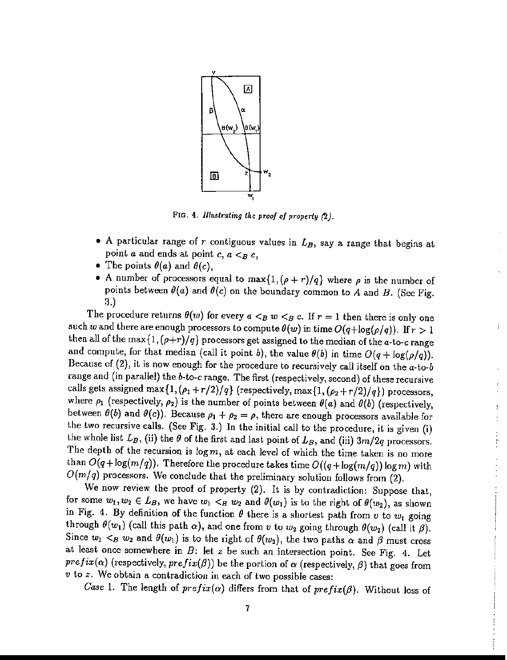

FIG. 4. *Illustrating the proof of properly (2).*

- A particular range of r contiguous values in  $L_B$ , say a range that begins at point *a* and ends at point  $c, a < B$  *c*,
- The points  $\theta(a)$  and  $\theta(c)$ ,
- A number of processors equal to  $\max\{1, (\rho + r)/q\}$  where  $\rho$  is the number of points between  $\theta(a)$  and  $\theta(c)$  on the boundary common to A and B. (See Fig. 3.)

ŧ

The procedure returns  $\theta(w)$  for every  $a < B w < B c$ . If  $r = 1$  then there is only one such *w* and there are enough processors to compute  $\theta(w)$  in time  $O(q + \log(\rho/q))$ . If  $r > 1$ then all of the max $\{1, (\rho+r)/q\}$  processors get assigned to the median of the *a*-to-*c* range and compute, for that median (call it point *b*), the value  $\theta(b)$  in time  $O(q + \log(\rho/q))$ . Because of (2), it is now enough for the procedure to recursively call itself on the *a-to-b* range and (in parallel) the  $b$ -to-c range. The first (respectively, second) of these recursive calls gets assigned max $\{1, (\rho_1 + r/2)/q\}$  (respectively, max $\{1, (\rho_2 + r/2)/q\}$ ) processors, where  $\rho_1$  (respectively,  $\rho_2$ ) is the number of points between  $\theta(a)$  and  $\theta(b)$  (respectively, between  $\theta(b)$  and  $\theta(c)$ ). Because  $\rho_1 + \rho_2 = \rho$ , there are enough processors available for the two recursive calls. (See Fig. 3.) In the initial call to the procedure, it is given (i) the whole list  $L_B$ , (ii) the  $\theta$  of the first and last point of  $L_B$ , and (iii)  $3m/2q$  processors. The depth of the recursion is  $\log m$ , at each level of which the time taken is no more than  $O(q + \log(m/q))$ . Therefore the procedure takes time  $O((q + \log(m/q)) \log m)$  with  $O(m/q)$  processors. We conclude that the preliminary solution follows from (2).

We now review the proof of property (2). It is by contradiction: Suppose that, for some  $w_1, w_2 \in L_B$ , we have  $w_1 <_B w_2$  and  $\theta(w_1)$  is to the right of  $\theta(w_2)$ , as shown in Fig. 4. By definition of the function  $\theta$  there is a shortest path from  $v$  to  $w_1$  going through  $\theta(w_1)$  (call this path  $\alpha$ ), and one from *v* to  $w_2$  going through  $\theta(w_2)$  (call it  $\beta$ ). Since  $w_1$   $\lt B$   $w_2$  and  $\theta(w_1)$  is to the right of  $\theta(w_2)$ , the two paths  $\alpha$  and  $\beta$  must cross at least once somewhere in *B:* let *z* be such an intersection point. See Fig. 4. Let  $prefix(\alpha)$  (respectively,  $prefix(\beta)$ ) be the portion of  $\alpha$  (respectively,  $\beta$ ) that goes from *v* to *z.* We obtain a contradiction in each of two possible cases:

*Case* 1. The length of  $prefix(\alpha)$  differs from that of  $prefix(\beta)$ . Without loss of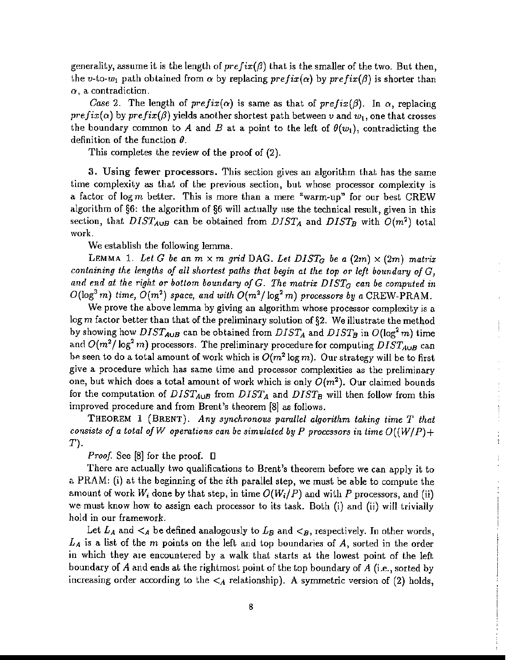generality, assume it is the length of  $prefix(\beta)$  that is the smaller of the two. But then, the v-to- $w_1$  path obtained from  $\alpha$  by replacing  $prefix(\alpha)$  by  $prefix(\beta)$  is shorter than  $\alpha$ , a contradiction.

*Case* 2. The length of  $prefix(\alpha)$  is same as that of  $prefix(\beta)$ . In  $\alpha$ , replacing  $prefix(\alpha)$  by  $prefix(\beta)$  yields another shortest path between *v* and  $w_1$ , one that crosses the boundary common to A and B at a point to the left of  $\theta(w_1)$ , contradicting the definition of the function  $\theta$ .

This completes the review of the proof of (2).

3. Using fewer processors. This sedion gives an algorithm that has the same time complexity as that of the previous section, but whose processor complexity is a factor of  $\log m$  better. This is more than a mere "warm-up" for our best CREW algorithm of §6: the algorithm of §6 will actually use the technical result, given in this section, that  $DIST_{A\cup B}$  can be obtained from  $DIST_A$  and  $DIST_B$  with  $O(m^2)$  total work.

We establish the following lemma.

LEMMA 1. Let G be an  $m \times m$  grid DAG. Let  $DIST_G$  be a  $(2m) \times (2m)$  matrix *containing* the *lengths* of all *shortest* paths that begin at the top or left boundary of G. and end at the right or bottom boundary of  $G$ . The matrix  $DIST_G$  can be computed in  $O(\log^3 m)$  *time,*  $O(m^2)$  *space,* and with  $O(m^2/\log^2 m)$  processors by a CREW-PRAM.

We prove the above lemma by giving an algorithm whose processor complexity is a log m factor better than that of the preliminary solution of  $\S2$ . We illustrate the method by showing how  $DIST_{A\cup B}$  can be obtained from  $DIST_A$  and  $DIST_B$  in  $O(\log^2 m)$  time and  $O(m^2/\log^2 m)$  processors. The preliminary procedure for computing  $DIST_{A\cup B}$  can be seen to do a total amount of work which is  $O(m^2 \log m)$ . Our strategy will be to first give a procedure which has same time and processor complexities as the preliminary one, but which does a total amount of work which is only  $O(m^2)$ . Our claimed bounds for the computation of  $DIST_{A\cup B}$  from  $DIST_A$  and  $DIST_B$  will then follow from this improved procedure and from Brent's theorem [8] as follows.

 $\frac{1}{2}$ 

 $\frac{1}{3}$ 

÷

THEOREM 1 (BRENT). *Any synchronous parallel algorithm taking time T that consists* of *a total* of *W* operations can be simulated by *P* processors in time  $O((W/P) +$ T).

*Proof.* See [8] for the proof.  $\Box$ 

There are actually two qualifications to Brent's theorem before we can apply it to a PRAM: (i) at the beginning of the ith parallel step, we must be able to compute the amount of work  $W_i$  done by that step, in time  $O(W_i/P)$  and with P processors, and (ii) we must know how to assign each processor to its task. Both (i) and (ii) will trivially hold in our framework.

Let  $L_A$  and  $\lt_A$  be defined analogously to  $L_B$  and  $\lt_B$ , respectively. In other words, *LA* is a list of the m points on the left and top boundaries of A, sorted in the order in which they are encountered by a walk that starts at the lowest point of the left boundary of *A* and ends at the rightmost point of the top boundary of *A* (i.e., sorted by increasing order according to the  $\lt_A$  relationship). A symmetric version of (2) holds,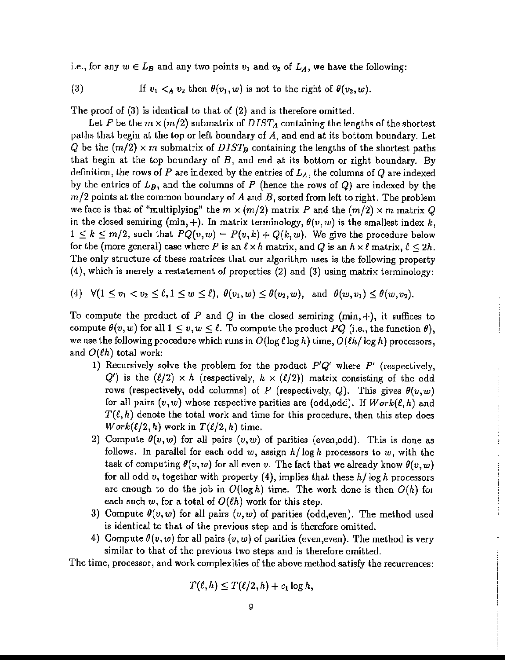i.e., for any  $w \in L_B$  and any two points  $v_1$  and  $v_2$  of  $L_A$ , we have the following:

If  $v_1 <_A v_2$  then  $\theta(v_1, w)$  is not to the right of  $\theta(v_2, w)$ . (3)

The proof of (3) is identical to that of (2) and is therefore omitted.

Let *P* be the  $m \times (m/2)$  submatrix of  $DIST_A$  containing the lengths of the shortest paths that begin at the top or left boundary of A, and end at its bottom boundary. Let Q be the  $(m/2) \times m$  submatrix of  $DIST_B$  containing the lengths of the shortest paths that begin at the top boundary of  $B$ , and end at its bottom or right boundary. By definition, the rows of *P* are indexed by the entries of *LA,* the columns of Q are indexed by the entries of  $L_B$ , and the columns of  $P$  (hence the rows of  $Q$ ) are indexed by the  $m/2$  points at the common boundary of A and B, sorted from left to right. The problem we face is that of "multiplying" the  $m \times (m/2)$  matrix *P* and the  $(m/2) \times m$  matrix *Q* in the closed semiring  $(\min, +)$ . In matrix terminology,  $\theta(v, w)$  is the smallest index *k*,  $1 \leq k \leq m/2$ , such that  $PQ(v, w) = P(v, k) + Q(k, w)$ . We give the procedure below for the (more general) case where P is an  $\ell \times h$  matrix, and Q is an  $h \times \ell$  matrix,  $\ell \leq 2h$ . The only structure of these matrices that our algorithm uses is the following property (4), which is merely a restatement of properties (2) and (3) using matrix terminology:

(4)  $\forall (1 \le v_1 < v_2 \le \ell, 1 \le w \le \ell), \ \theta(v_1, w) \le \theta(v_2, w), \text{ and } \theta(w, v_1) \le \theta(w, v_2).$ 

To compute the product of  $P$  and  $Q$  in the closed semiring (min, +), it suffices to compute  $\theta(v, w)$  for all  $1 \leq v, w \leq \ell$ . To compute the product PQ (i.e., the function  $\theta$ ), we use the following procedure which runs in  $O(\log \ell \log h)$  time,  $O(\ell h/\log h)$  processors, and  $O(\ell h)$  total work:

- 1) Recursively solve the problem for the product P'Q' where *pi* (respectively, *Q'*) is the  $(\ell/2) \times h$  (respectively,  $h \times (\ell/2)$ ) matrix consisting of the odd rows (respectively, odd columns) of *P* (respectively, *Q*). This gives  $\theta(v, w)$ for all pairs  $(v, w)$  whose respective parities are (odd,odd). If  $Work(\ell, h)$  and  $T(\ell, h)$  denote the total work and time for this procedure, then this step does *Work*( $\ell/2, h$ ) work in  $T(\ell/2, h)$  time.
- 2) Compute  $\theta(v,w)$  for all pairs  $(v,w)$  of parities (even,odd). This is done as follows. In parallel for each odd *w,* assign *h/* log *h* processors to *w,* with the task of computing  $\theta(v, w)$  for all even v. The fact that we already know  $\theta(v, w)$ for all odd v, together with property  $(4)$ , implies that these  $h/\log h$  processors are enough to do the job in  $O(\log h)$  time. The work done is then  $O(h)$  for each such  $w$ , for a total of  $O(\ell h)$  work for this step.
- 3) Compute  $\theta(v, w)$  for all pairs  $(v, w)$  of parities (odd,even). The method used is identical to that of the previous step and is therefore omitted.
- 4) Compute  $\theta(v, w)$  for all pairs  $(v, w)$  of parities (even, even). The method is very similar to that of the previous two steps and is therefore omitted.

The time, processor, and work complexities of the above method satisfy the recurrences:

$$
T(\ell,h)\leq T(\ell/2,h)+c_1\log h,
$$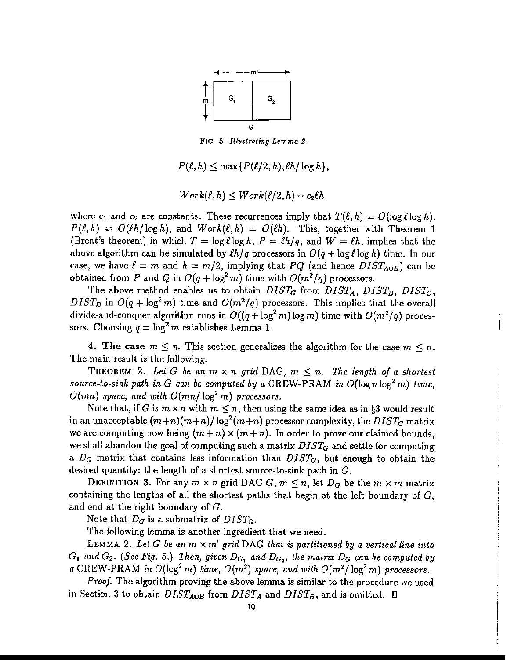

FIG. 5. *Illustrating Lemma 2.*

 $P(\ell, h) \leq \max\{P(\ell/2, h), \ell h/\log h\},\$ 

$$
Work(\ell, h) \leq Work(\ell/2, h) + c_2 \ell h,
$$

where  $c_1$  and  $c_2$  are constants. These recurrences imply that  $T(\ell, h) = O(\log \ell \log h)$ ,  $P(\ell,h) = O(\ell h/\log h)$ , and  $Work(\ell,h) = O(\ell h)$ . This, together with Theorem 1 (Brent's theorem) in which  $T = \log \ell \log h$ ,  $P = \ell h/q$ , and  $W = \ell h$ , implies that the above algorithm can be simulated by  $\ell h/q$  processors in  $O(q + \log \ell \log h)$  time. In our case, we have  $\ell = m$  and  $h = m/2$ , implying that *PQ* (and hence  $DIST_{A\cup B}$ ) can be obtained from P and Q in  $O(q + \log^2 m)$  time with  $O(m^2/q)$  processors.

The above method enables us to obtain  $DIST_G$  from  $DIST_A$ ,  $DIST_B$ ,  $DIST_G$ , *DIST<sub>D</sub>* in  $O(q + \log^2 m)$  time and  $O(m^2/q)$  processors. This implies that the overall divide-and-conquer algorithm runs in  $O((q + \log^2 m) \log m)$  time with  $O(m^2/q)$  processors. Choosing  $q = \log^2 m$  establishes Lemma 1.

4. The case  $m \leq n$ . This section generalizes the algorithm for the case  $m \leq n$ . The main result is the following.

THEOREM 2. Let G be an  $m \times n$  grid DAG,  $m \leq n$ . The length of a shortest *source-to-sink* path in G can be computed by a CREW-PRAM in  $O(\log n \log^2 m)$  time,  $O(mn)$  *space, and with*  $O(mn/\log^2 m)$  *processors.* 

> $\frac{1}{2}$  $\ddot{\cdot}$

Note that, if G is  $m \times n$  with  $m \leq n$ , then using the same idea as in §3 would result in an unacceptable  $(m+n)(m+n)/\log^2(m+n)$  processor complexity, the  $DIST_G$  matrix we are computing now being  $(m + n) \times (m + n)$ . In order to prove our claimed bounds, we shall abandon the goal of computing such a matrix *DISTa* and settle for computing a *Da* matrix that contains less information than *DISTa,* but enough to obtain the desired quantity: the length of a shortest source-to-sink path in *G.*

DEFINITION 3. For any  $m \times n$  grid DAG G,  $m \leq n$ , let  $D_G$  be the  $m \times m$  matrix containing the lengths of all the shortest paths that begin at the left boundary of  $G$ , and end at the right boundary of G.

Note that  $D_G$  is a submatrix of  $DIST_G$ .

The following lemma is another ingredient that we need.

LEMMA 2. Let G be an  $m \times m'$  grid DAG that is partitioned by a vertical line into  $G_1$  *and*  $G_2$ . (See Fig. 5.) Then, given  $D_{G_1}$  and  $D_{G_2}$ , the matrix  $D_G$  can be computed by *a* CREW-PRAM *in*  $O(\log^2 m)$  *time,*  $O(m^2)$  *space,* and with  $O(m^2/\log^2 m)$  processors.

*Proof.* The algorithm proving the above lemma is similar to the procedure we used in Section 3 to obtain  $DIST_{A\cup B}$  from  $DIST_A$  and  $DIST_B$ , and is omitted.  $\square$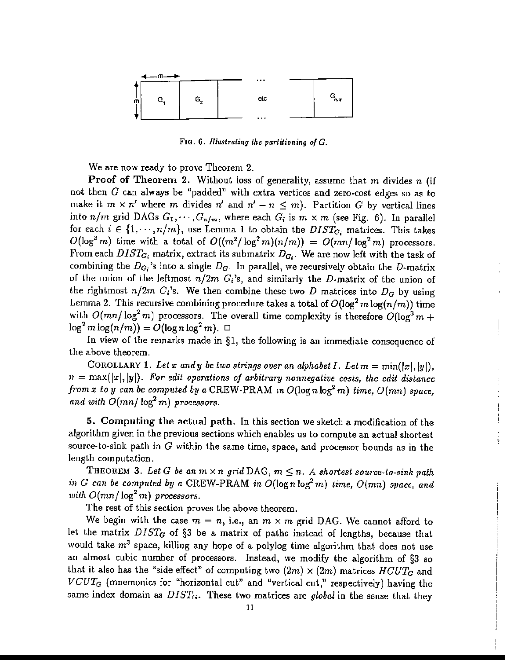

FIG. 6. *Illustrating the partitioning o/G.*

We are now ready to prove Theorem 2.

Proof of Theorem 2. Without loss of generality, assume that m divides *n* (if not then  $G$  can always be "padded" with extra vertices and zero-cost edges so as to make it  $m \times n'$  where m divides  $n'$  and  $n' - n \leq m$ ). Partition *G* by vertical lines into  $n/m$  grid DAGs  $G_1, \dots, G_{n/m}$ , where each  $G_i$  is  $m \times m$  (see Fig. 6). In parallel for each  $i \in \{1, \dots, n/m\}$ , use Lemma 1 to obtain the  $DIST_{G_i}$  matrices. This takes  $O(\log^3 m)$  time with a total of  $O((m^2/\log^2 m)(n/m)) = O(mn/\log^2 m)$  processors. From each  $DIST_{G_i}$  matrix, extract its submatrix  $D_{G_i}$ . We are now left with the task of combining the  $D_{G_i}$ 's into a single  $D_G$ . In parallel, we recursively obtain the D-matrix of the union of the leftmost  $n/2m$   $G_i$ 's, and similarly the *D*-matrix of the union of the rightmost  $n/2m$   $G_i$ 's. We then combine these two *D* matrices into  $D_G$  by using Lemma 2. This recursive combining procedure takes a total of  $O(\log^2 m \log(n/m))$  time with  $O(mn/\log^2 m)$  processors. The overall time complexity is therefore  $O(\log^3 m +$  $\log^2 m \log(n/m)) = O(\log n \log^2 m)$ .  $\Box$ 

In view of the remarks made in §1, the following is an immediate consequence of the above theorem.

COROLLARY 1. Let x and y be two strings over an alphabet I. Let  $m = min(|x|, |y|)$ ,  $n = \max(|x|, |y|)$ . For edit operations of arbitrary nonnegative costs, the edit distance *from x to y can be computed by a* CREW-PRAM *in*  $O(\log n \log^2 m)$  *time,*  $O(mn)$  *space,* and with  $O(mn/\log^2 m)$  processors.

5. Computing the actual path. In this section we sketch a modification of the algorithm given in the previous sections which enables us to compute an actual shortest source-to-sink path in *G* within the same time, space, and processor bounds as in the length computation.

t

THEOREM 3. Let G be an  $m \times n$  grid DAG,  $m \leq n$ . A shortest source-to-sink path *in*  $G$  *can be computed by a* CREW-PRAM *in*  $O(\log n \log^2 m)$  *time,*  $O(mn)$  *space,* and *with*  $O(mn/\log^2 m)$  *processors.* 

The rest of this section proves the above theorem.

We begin with the case  $m = n$ , i.e., an  $m \times m$  grid DAG. We cannot afford to let the matrix *DISTa* of §3 be a matrix of paths instead of lengths, because that would take  $m^3$  space, killing any hope of a polylog time algorithm that does not use an almost cubic number of processors. Instead, we modify the algorithm of §3 so that it also has the "side effect" of computing two  $(2m) \times (2m)$  matrices  $HCUT_G$  and VCUT*<sup>G</sup>* (mnemonics for "horizontal cut" and "vertical cut," respectively) having the same index domain as  $DIST_G$ . These two matrices are *global* in the sense that they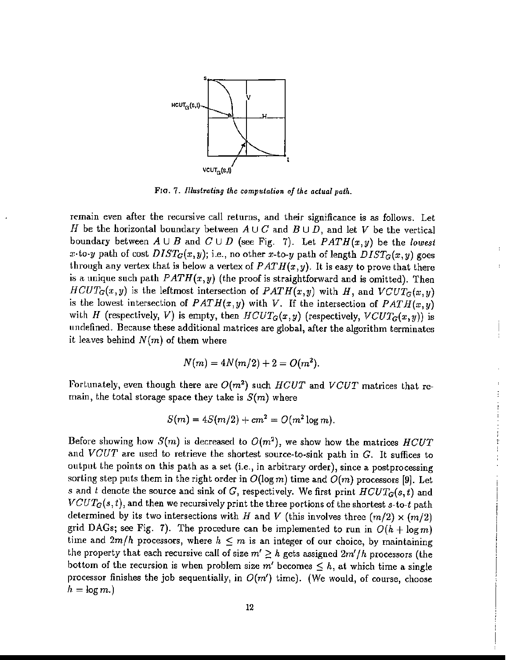

FlO. 7. *Illustrating the computation afthe actual path.*

remain even after the recursive call returns, and their significance is *as* follows. Let H be the horizontal boundary between  $A\cup C$  and  $B\cup D$ , and let V be the vertical boundary between  $A \cup B$  and  $C \cup D$  (see Fig. 7). Let  $PATH(x, y)$  be the *lowest x*-to-y path of cost  $DIST_G(x, y)$ ; i.e., no other *x*-to-y path of length  $DIST_G(x, y)$  goes through any vertex that is below a vertex of  $PATH(x, y)$ . It is easy to prove that there is a unique such path  $PATH(x, y)$  (the proof is straightforward and is omitted). Then  $HCUT_G(x,y)$  is the leftmost intersection of  $PATH(x,y)$  with *H*, and  $VCUT_G(x,y)$ is the lowest intersection of  $PATH(x, y)$  with *V*. If the intersection of  $PATH(x, y)$ with *H* (respectively, *V*) is empty, then  $HCUT_G(x,y)$  (respectively,  $VCUT_G(x,y)$ ) is undefined. Because these additional matrices are global, after the algorithm terminates it leaves behind  $N(m)$  of them where

$$
N(m) = 4N(m/2) + 2 = O(m^2).
$$

Fortunately, even though there are *O(m2)* such *HCUT* and *VCUT* matrices that remain, the total storage space they take is  $S(m)$  where

$$
S(m) = 4S(m/2) + cm^2 = O(m^2 \log m).
$$

Before showing how  $S(m)$  is decreased to  $O(m^2)$ , we show how the matrices *HCUT* and *VCUT* are used *to* retrieve the shortest source-to-sink path in G. It suffices to output the points on this path as a set (i.e., in arbitrary order), since a postprocessing sorting step puts them in the right order in  $O(\log m)$  time and  $O(m)$  processors [9]. Let s and t denote the source and sink of G, respectively. We first print  $HCUT_G(s, t)$  and *VCUTG(s, t),* and then we recursively print the three portions of the shortest *s-to-t* path determined by its two intersections with *H* and *V* (this involves three  $(m/2) \times (m/2)$ ) grid DAGs; see Fig. 7). The procedure can be implemented to run in  $O(h + \log m)$ time and  $2m/h$  processors, where  $h \leq m$  is an integer of our choice, by maintaining the property that each recursive call of size  $m' \geq h$  gets assigned  $2m'/h$  processors (the bottom of the recursion is when problem size m' becomes  $\leq h$ , at which time a single processor finishes the job sequentially, in  $O(m')$  time). (We would, of course, choose  $h = \log m$ .)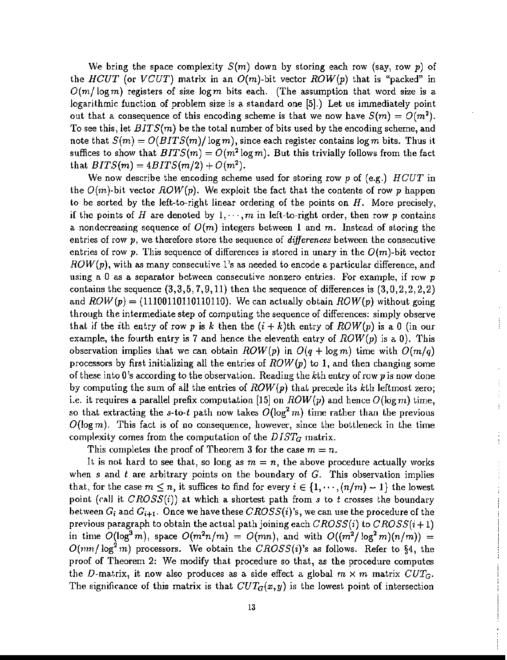We bring the space complexity *S(m)* down by storing each row (say, row *p)* of the *HCUT* (or *VCUT*) matrix in an  $O(m)$ -bit vector  $ROM(p)$  that is "packed" in  $O(m/\log m)$  registers of size  $\log m$  bits each. (The assumption that word size is a logarithmic function of problem size is a standard one [5].) Let us inunediately point out that a consequence of this encoding scheme is that we now have  $S(m) = O(m^2)$ . To see this, let *BITS(m)* be the total number of bits used by the encoding scheme, and note that  $S(m) = O(BITS(m)/\log m)$ , since each register contains  $\log m$  bits. Thus it suffices to show that  $BITS(m) = O(m^2 \log m)$ . But this trivially follows from the fact that  $BITS(m) = 4BITS(m/2) + O(m^2)$ .

We now describe the encoding scheme used for storing row p of (e.g.) *HCUT* in the  $O(m)$ -bit vector  $ROW(p)$ . We exploit the fact that the contents of row p happen to be sorted by the left-to-right linear ordering of the points on  $H$ . More precisely, if the points of H are denoted by  $1, \dots, m$  in left-to-right order, then row p contains a nondecreasing sequence of  $O(m)$  integers between 1 and m. Instead of storing the entries of row p, we therefore store the sequence of *differences* between the consecutive entries of row p. This sequence of differences is stored in unary in the  $O(m)$ -bit vector *ROW(p),* with as many consecutive l's as needed to encode a particular difference, and using a 0 as a separator between consecutive nonzero entries. For example, if row  $p$ contains the sequence  $(3,3,5,7,9,11)$  then the sequence of differences is  $(3,0,2,2,2,2)$ and  $ROW(p) = (11100110110110110)$ . We can actually obtain  $ROW(p)$  without going through the intermediate step of computing the sequence of differences: simply observe that if the *i*th entry of row p is k then the  $(i + k)$ th entry of  $ROW(p)$  is a 0 (in our example, the fourth entry is 7 and hence the eleventh entry of  $ROW(p)$  is a 0). This observation implies that we can obtain  $ROM(p)$  in  $O(q + \log m)$  time with  $O(m/q)$ processors by first initializing all the entries of  $ROW(p)$  to 1, and then changing some of these into 0's according to the observation. Reading the kth entry of row p is now done by computing the sum of all the entries of *ROW(p)* that precede its kth leftmost zero; i.e. it requires a parallel prefix computation [15] on  $ROW(p)$  and hence  $O(\log m)$  time, so that extracting the s-to-t path now takes  $O(\log^2 m)$  time rather than the previous  $O(\log m)$ . This fact is of no consequence, however, since the bottleneck in the time complexity comes from the computation of the  $DIST_G$  matrix.

Ť  $\ddot{z}$  $\mathfrak{f}$ 

 $\frac{1}{2}$ 

This completes the proof of Theorem 3 for the case  $m = n$ .

It is not hard to see that, so long as  $m = n$ , the above procedure actually works when  $s$  and  $t$  are arbitrary points on the boundary of  $G$ . This observation implies that, for the case  $m \leq n$ , it suffices to find for every  $i \in \{1, \dots, (n/m) -1\}$  the lowest point (call it *CROSS(i)*) at which a shortest path from *s* to *t* crosses the boundary between  $G_i$  and  $G_{i+1}$ . Once we have these  $CROSS(i)$ 's, we can use the procedure of the previous paragraph to obtain the actual path joining each  $CROSS(i)$  to  $CROSS(i+1)$ in time  $O(\log^3 m)$ , space  $O(m^2n/m) = O(mn)$ , and with  $O((m^2/\log^2 m)(n/m)) =$  $O(mn/\log^2 m)$  processors. We obtain the *CROSS(i)'s* as follows. Refer to §4, the proof of Theorem 2: We modify that procedure so that, as the procedure computes the D-matrix, it now also produces as a side effect a global  $m \times m$  matrix  $CUT_G$ . The significance of this matrix is that  $CUT<sub>G</sub>(x, y)$  is the lowest point of intersection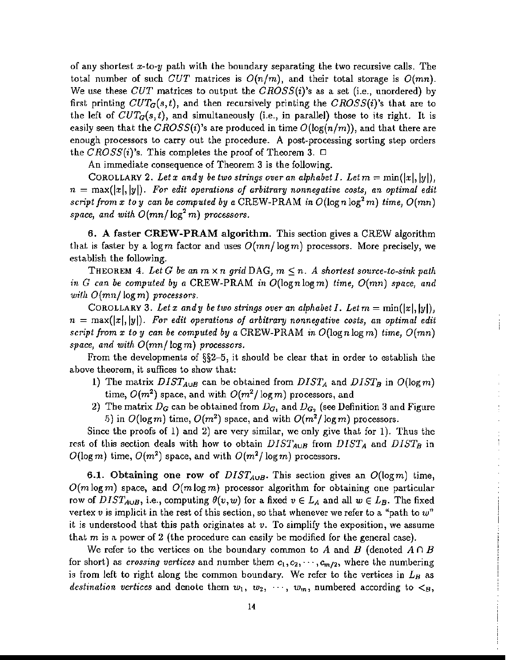of any shortest *x-to-y* path with the boundary separating the two recursive calls. The total number of such *CUT* matrices is  $O(n/m)$ , and their total storage is  $O(mn)$ . We use these *CUT* matrices to output the *CROSS(i)'s* as a set (i.e., unordered) by first printing *CUTG(s,t),* and then recursively printing the *CROSS(i)'s* that are to the left of  $CUT<sub>G</sub>(s,t)$ , and simultaneously (i.e., in parallel) those to its right. It is easily seen that the *GROSS(i)'s* are produced in time  $O(\log(n/m))$ , and that there are enough processors to carry out the procedure. A post-processing sorting step orders the  $CROSS(i)$ 's. This completes the proof of Theorem 3.  $\Box$ 

An immediate consequence of Theorem 3 is the following.

COROLLARY 2. Let x and y be two strings over an alphabet I. Let  $m = \min(|x|, |y|)$ ,  $n = \max(|x|, |y|)$ . For edit operations of arbitrary nonnegative costs, an optimal edit *script* from *x to y can be computed by a* CREW-PRAM *in*  $O(\log n \log^2 m)$  *time,*  $O(mn)$ *space,* and with  $O(mn/\log^2 m)$  processors.

6. A faster CREW-PRAM algorithm. This section gives a CREW algorithm that is faster by a log *m* factor and uses  $O(mn/\log m)$  processors. More precisely, we establish the following.

THEOREM 4. Let G be an  $m \times n$  grid DAG,  $m \leq n$ . A shortest source-to-sink path *in G can be computed by a* CREW-PRAM *in* O(lognlogm) *time, O(mn) space, and wifh O(mnl* log m) *processors.*

COROLLARY 3. Let x and y be two strings over an alphabet I. Let  $m = \min(|x|, |y|)$ ,  $n = \max(|x|, |y|)$ . For edit operations of arbitrary nonnegative costs, an optimal edit *script from x to y can be computed by a* CREW-PRAM *in* O(logn log m) *time, O(mn) space) and with O(mnl* logm) *processors,*

From the developments of §§2-5, it should be clear that in order to establish the above theorem, it suffices to show that:

- 1) The matrix  $DIST_{A\cup B}$  can be obtained from  $DIST_A$  and  $DIST_B$  in  $O(log m)$ time,  $O(m^2)$  space, and with  $O(m^2/\log m)$  processors, and
- 2) The matrix  $D_G$  can be obtained from  $D_{G_1}$  and  $D_{G_2}$  (see Definition 3 and Figure 5) in  $O(\log m)$  time,  $O(m^2)$  space, and with  $O(m^2/\log m)$  processors.

Ì

Since the proofs of 1) and 2) are very similar, we only give that for 1). Thus the rest of this section deals with how to obtain  $DIST_{A \cup B}$  from  $DIST_A$  and  $DIST_B$  in  $O(\log m)$  time,  $O(m^2)$  space, and with  $O(m^2/\log m)$  processors.

6.1. Obtaining one row of  $DIST_{A\cup B}$ . This section gives an  $O(\log m)$  time,  $O(m \log m)$  space, and  $O(m \log m)$  processor algorithm for obtaining one particular row of  $DIST_{A\cup B}$ , i.e., computing  $\theta(v,w)$  for a fixed  $v \in L_A$  and all  $w \in L_B$ . The fixed vertex *v* is implicit in the rest of this section, so that whenever we refer to a "path to *w"* it is understood that this path originates at *v.* To simplify the exposition, we assume that  $m$  is a power of 2 (the procedure can easily be modified for the general case).

We refer to the vertices on the boundary common to A and B (denoted  $A \cap B$ for short) as *crossing vertices* and number them  $c_1, c_2, \dots, c_{m/2}$ , where the numbering is from left to right along the common boundary. We refer to the vertices in  $L_B$  as *destination vertices* and denote them  $w_1, w_2, \cdots, w_m$ , numbered according to  $\lt_B$ ,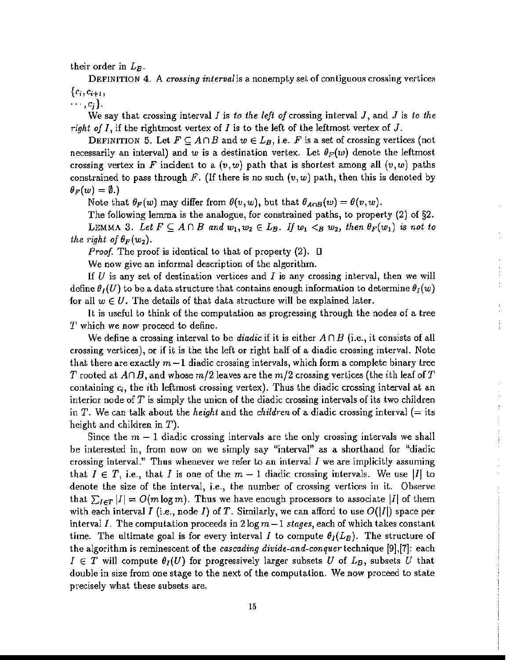their order in *LB.*

DEFINITION 4. A *crossing interval* is a nonempty set of contiguous crossing vertices  ${c_i,c_{i+1},$ 

 $\cdots, c_i$ .

We say that crossing interval  $I$  is *to the left of* crossing interval  $J$ , and  $J$  is *to the right of* I, if the rightmost vertex of I is to the left of the leftmost vertex of J.

DEFINITION 5. Let  $F \subseteq A \cap B$  and  $w \in L_B$ , i.e. F is a set of crossing vertices (not necessarily an interval) and w is a destination vertex. Let  $\theta_F(w)$  denote the leftmost crossing vertex in F incident to a  $(v, w)$  path that is shortest among all  $(v, w)$  paths constrained to pass through F. (If there is no such  $(v, w)$  path, then this is denoted by  $\theta_F(w) = \emptyset.$ 

Note that  $\theta_F(w)$  may differ from  $\theta(v,w)$ , but that  $\theta_{A \cap B}(w) = \theta(v,w)$ .

The following lemma is the analogue, for constrained paths, to property (2) of §2. LEMMA 3. Let  $F \subseteq A \cap B$  and  $w_1, w_2 \in L_B$ . If  $w_1 < B w_2$ , then  $\theta_F(w_1)$  is not to *the right of*  $\theta_F(w_2)$ .

*Proof.* The proof is identical to that of property  $(2)$ .  $\Box$ 

We now give an informal description of the algorithm.

If *U* is any set of destination vertices and *I* is any crossing interval, then we will define  $\theta_I(U)$  to be a data structure that contains enough information to determine  $\theta_I(w)$ for all  $w \in U$ . The details of that data structure will be explained later.

 $\frac{1}{2}$  $\ddot{\cdot}$ 

Ť

 $\frac{1}{4}$  $\frac{1}{2}$ 

It is useful to think of the computation as progressing through the nodes of a tree T which we now proceed to define.

We define a crossing interval to be *diadic* if it is either  $A \cap B$  (i.e., it consists of all crossing vertices), or if it is the the left or right half of a diadic crossing interval. Note that there are exactly  $m-1$  diadic crossing intervals, which form a complete binary tree *T* rooted at  $A \cap B$ , and whose  $m/2$  leaves are the  $m/2$  crossing vertices (the *i*th leaf of T containing  $c_i$ , the ith leftmost crossing vertex). Thus the diadic crossing interval at an interior node of *T* is simply the union of the diadic crossing intervals of its two children in *T.* We can talk about the *height* and the *children* of a diadic crossing interval (= its height and children in  $T$ ).

Since the  $m - 1$  diadic crossing intervals are the only crossing intervals we shall be interested in, from now on we simply say "interval" as a shorthand for "diadic crossing interval." Thus whenever we refer to an interval  $I$  we are implicitly assuming that  $I \in T$ , i.e., that *I* is one of the  $m-1$  diadic crossing intervals. We use |*I*| to denote the size of the interval, i.e., the number of crossing vertices in it. Observe that  $\sum_{I \in \mathcal{T}} |I| = O(m \log m)$ . Thus we have enough processors to associate  $|I|$  of them with each interval I (i.e., node I) of T. Similarly, we can afford to use  $O(|I|)$  space per interval *I*. The computation proceeds in  $2 \log m - 1$  *stages*, each of which takes constant time. The ultimate goal is for every interval *I* to compute  $\theta_I(L_B)$ . The structure of the algorithm is reminescent of the *cascading divide-and-conquer* technique [9],[7]: each  $I \in T$  will compute  $\theta_I(U)$  for progressively larger subsets U of  $L_B$ , subsets U that double in size from one stage to the next of the computation. We now proceed to state precisely what these subsets are.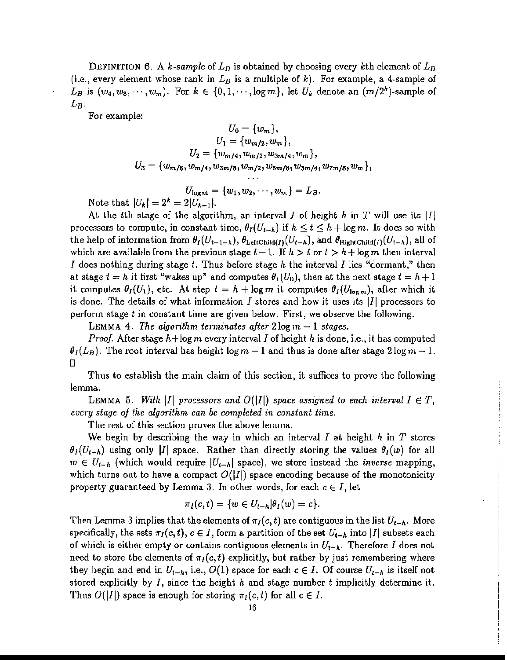DEFINITION 6. A *k*-sample of  $L_B$  is obtained by choosing every kth element of  $L_B$ (i.e., every element whose rank in  $L_B$  is a multiple of  $k$ ). For example, a 4-sample of  $L_B$  is  $(w_4, w_8, \dots, w_m)$ . For  $k \in \{0, 1, \dots, \log m\}$ , let  $U_k$  denote an  $(m/2^k)$ -sample of *LB·*

For example:

$$
U_0 = \{w_m\},
$$
  
\n
$$
U_1 = \{w_{m/2}, w_m\},
$$
  
\n
$$
U_2 = \{w_{m/4}, w_{m/2}, w_{3m/4}, w_m\},
$$
  
\n
$$
U_3 = \{w_{m/8}, w_{m/4}, w_{3m/8}, w_{m/2}, w_{5m/8}, w_{3m/4}, w_{7m/8}, w_m\},
$$

$$
U_{\log m} = \{w_1, w_2, \cdots, w_m\} = L_B.
$$
  
=  $2|U_{L-1}|$ .

Note that  $|U_k| = 2^k = 2|U_{k-1}|$ .

At the *t*th stage of the algorithm, an interval *I* of height *h* in *T* will use its  $|I|$ processors to compute, in constant time,  $\theta_I(U_{t-h})$  if  $h \le t \le h + \log m$ . It does so with the help of information from  $\theta_I(U_{t-1-k}), \theta_{\text{LeftChild}(I)}(U_{t-k}),$  and  $\theta_{\text{RightChild}(I)}(U_{t-k}),$  all of which are available from the previous stage  $t-1$ . If  $h > t$  or  $t > h + \log m$  then interval *I* does nothing during stage *t.* Thus before stage *h* the interval *I* lies "dormant," then at stage  $t = h$  it first "wakes up" and computes  $\theta_I(U_0)$ , then at the next stage  $t = h + 1$ . it computes  $\theta_I(U_1)$ , etc. At step  $t = h + \log m$  it computes  $\theta_I(U_{\log m})$ , after which it is done. The details of what information I stores and how it uses its  $|I|$  processors to perform stage  $t$  in constant time are given below. First, we observe the following.

LEMMA 4. *The algorithm terminates after*  $2 \log m - 1$  *stages.* 

*Proof* After stage h+logm every interval *I* of height *h* is done, i.e., it has computed  $\theta_I(L_B)$ . The root interval has height log  $m-1$  and thus is done after stage  $2\log m - 1$ .  $\mathsf{\Pi}$ 

Thus to establish the main claim of this section, it suffices to prove the following lemma.

LEMMA 5. *With*  $|I|$  processors and  $O(|I|)$  space assigned to each interval  $I \in T$ , *every stage of the algorithm can be completed in constant time.*

 $\begin{array}{c} 1 \\ 1 \\ 1 \\ 1 \end{array}$ 

The rest of this section proves the above lemma.

*We* begin by describing the way in which an interval *I* at height *h* in *T* stores  $\theta_I(U_{t-h})$  using only |I| space. Rather than directly storing the values  $\theta_I(w)$  for all  $w \in U_{t-h}$  (which would require  $|U_{t-h}|$  space), we store instead the *inverse* mapping, which turns out to have a compact  $O(|I|)$  space encoding because of the monotonicity property guaranteed by Lemma 3. In other words, for each  $c \in I$ , let

$$
\pi_I(c,t)=\{w\in U_{t-h}|\theta_I(w)=c\}.
$$

Then Lemma 3 implies that the elements of  $\pi_I(c, t)$  are contiguous in the list  $U_{t-h}$ . More specifically, the sets  $\pi_I(c, t)$ ,  $c \in I$ , form a partition of the set  $U_{t-h}$  into II subsets each of which is either empty or contains contiguous elements in  $U_{t-h}$ . Therefore *I* does not need to store the elements of  $\pi_I(c,t)$  explicitly, but rather by just remembering where they begin and end in  $U_{t-h}$ , i.e.,  $O(1)$  space for each  $c \in I$ . Of course  $U_{t-h}$  is itself not stored explicitly by *I,* since the height *h* and stage number *t* implicitly determine it. Thus  $O(|I|)$  space is enough for storing  $\pi_I(c,t)$  for all  $c \in I$ .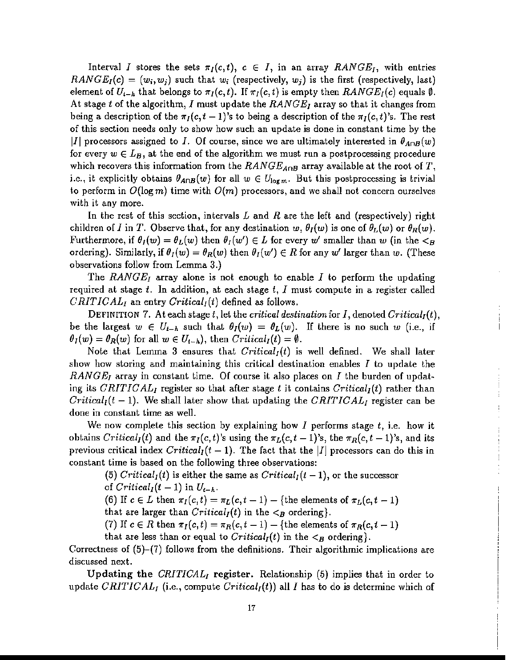Interval *I* stores the sets  $\pi_I(c,t)$ ,  $c \in I$ , in an array *RANGE<sub>I</sub>*, with entries  $RANGE_I(c) = (w_i, w_j)$  such that  $w_i$  (respectively,  $w_j$ ) is the first (respectively, last) element of  $U_{t-h}$  that belongs to  $\pi_I(c,t)$ . If  $\pi_I(c,t)$  is empty then  $RANGE_I(c)$  equals  $\emptyset$ . At stage *t* of the algorithm, *I* must update the *RANGE]* array so that it changes from being a description of the  $\pi_I(c, t - 1)$ 's to being a description of the  $\pi_I(c, t)$ 's. The rest of this section needs only to show how such an update is done in constant time by the II] processors assigned to *I*. Of course, since we are ultimately interested in  $\theta_{A \cap B}(w)$ for every  $w \in L_B$ , at the end of the algorithm we must run a postprocessing procedure which recovers this information from the  $RANGE_{A\cap B}$  array available at the root of T, i.e., it explicitly obtains  $\theta_{A\cap B}(w)$  for all  $w \in U_{\log m}$ . But this postprocessing is trivial to perform in  $O(\log m)$  time with  $O(m)$  processors, and we shall not concern ourselves with it any more.

In the rest of this section, intervals Land *R* are the left and (respectively) right children of *I* in *T*. Observe that, for any destination  $w$ ,  $\theta_I(w)$  is one of  $\theta_L(w)$  or  $\theta_R(w)$ . Furthermore, if  $\theta_I(w) = \theta_L(w)$  then  $\theta_I(w') \in L$  for every w' smaller than w (in the  $\lt_B$ ordering). Similarly, if  $\theta_I(w) = \theta_R(w)$  then  $\theta_I(w') \in R$  for any w' larger than w. (These observations follow from Lemma 3.)

The *RANGE]* array alone is not enough to enable *I* to perform the updating required at stage *t.* In addition, at each stage *t,* I must compute in a register called *CRITICAL,* an entry *Gritieal,(t)* defined as follows.

DEFINITION 7. At each stage *t,* let the *critical destination* for *I,* denoted *Criticah(t),* be the largest  $w \in U_{t-h}$  such that  $\theta_I(w) = \theta_L(w)$ . If there is no such w (i.e., if  $\theta_I(w) = \theta_R(w)$  for all  $w \in U_{t-h}$ , then *Critical<sub>I</sub>*(*t*) =  $\emptyset$ .

Note that Lemma 3 ensures that  $Critical_I(t)$  is well defined. We shall later show how storing and maintaining this critical destination enables  $I$  to update the *RANGE<sub>I</sub>* array in constant time. Of course it also places on *I* the burden of updating its  $CRITICAL_I$  register so that after stage t it contains  $Critical_I(t)$  rather than *Critical<sub>I</sub>*( $t - 1$ ). We shall later show that updating the *CRITICAL<sub>I</sub>* register can be done in constant time as well.

 $\frac{1}{3}$ Ť

We now complete this section by explaining how I performs stage *t,* i.e. how it obtains *Critical<sub>I</sub>*(*t*) and the  $\pi_I(c, t)$ 's using the  $\pi_L(c, t - 1)$ 's, the  $\pi_R(c, t - 1)$ 's, and its previous critical index  $Critical<sub>I</sub>(t-1)$ . The fact that the *II* processors can do this in constant time is based on the following three observations:

(5) *Critical<sub>I</sub>*(*t*) is either the same as *Critical<sub>I</sub>*(*t* - 1), or the successor of  $Critical_I(t-1)$  in  $U_{t-h}$ .

(6) If  $c \in L$  then  $\pi_I(c, t) = \pi_L(c, t-1) - \{\text{the elements of } \pi_L(c, t-1)\}$ 

that are larger than  $\text{Critical}_I(t)$  in the  $\lt B$  ordering.

(7) If  $c \in R$  then  $\pi_I(c,t) = \pi_R(c,t-1) - \{\text{the elements of } \pi_R(c,t-1)\}$ 

that are less than or equal to  $\text{Critical}_I(t)$  in the  $\lt B$  ordering.

Correctness of (5)-(7) follows from the definitions. Their algorithmic implications are discussed next.

Updating the *GRITIGAL,* register. Relationship (5) implies that in order to update *CRITICAL<sub>I</sub>* (i.e., compute *Critical<sub>I</sub>(t)*) all *I* has to do is determine which of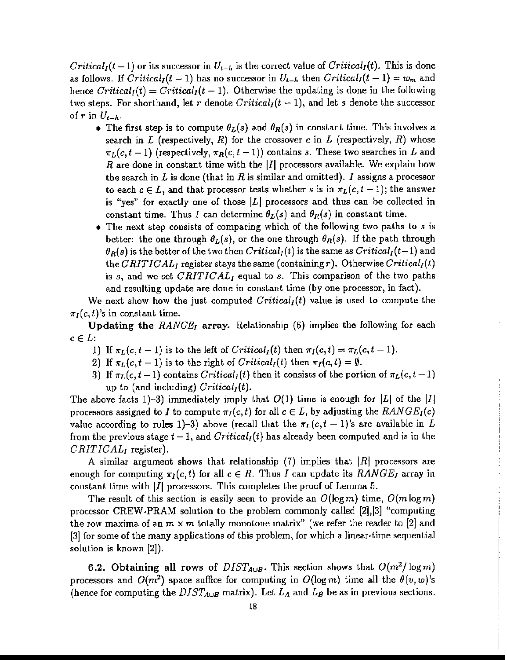*Critical<sub>I</sub>*(*t* – 1) or its successor in  $U_{t-h}$  is the correct value of *Critical<sub>I</sub>*(*t*). This is done as follows. If  $Critical<sub>I</sub>(t-1)$  has no successor in  $U<sub>t-h</sub>$  then  $Critical<sub>I</sub>(t-1) = w<sub>m</sub>$  and hence  $\text{Critical}_I(t) = \text{Critical}_I(t-1)$ . Otherwise the updating is done in the following two steps. For shorthand, let r denote  $Critical_I(t-1)$ , and let s denote the successor of r in  $U_{t-h}$ .

- The first step is to compute  $\theta_L(s)$  and  $\theta_R(s)$  in constant time. This involves a search in *L* (respectively, *R)* for the crossover c in *L* (respectively, *R)* whose  $\pi_L(c, t-1)$  (respectively,  $\pi_R(c, t-1)$ ) contains *s*. These two searches in *L* and *R* are done in constant time with the |*I*| processors available. We explain how the search in  $L$  is done (that in  $R$  is similar and omitted).  $I$  assigns a processor to each  $c \in L$ , and that processor tests whether s is in  $\pi_L(c, t-1)$ ; the answer is "yes" for exactly one of those  $|L|$  processors and thus can be collected in constant time. Thus *I* can determine  $\theta_L(s)$  and  $\theta_R(s)$  in constant time.
- The next step consists of comparing which of the following two paths to s is better: the one through  $\theta_L(s)$ , or the one through  $\theta_R(s)$ . If the path through  $\theta_R(s)$  is the better of the two then *Critical<sub>I</sub>*(*t*) is the same as *Critical<sub>I</sub>*(*t*-1) and the *CRITICAL*<sub>*I*</sub> register stays the same (containing  $r$ ). Otherwise  $\text{Critical}_I(t)$ is s, and we set *CRITICALI* equal to s. This comparison of the two paths and resulting update are done in constant time (by one processor, in fact).

We next show how the just computed  $\text{Critical}_l(t)$  value is used to compute the  $\pi_I(c, t)$ 's in constant time.

Updating the *RANGEl* array. Relationship (6) implies the following for each  $c \in L$ :

- 1) If  $\pi_L(c, t-1)$  is to the left of *Critical<sub>I</sub>*(*t*) then  $\pi_I(c, t) = \pi_L(c, t-1)$ .
- 2) If  $\pi_L(c, t-1)$  is to the right of *Critical<sub>I</sub>*(*t*) then  $\pi_I(c, t) = \emptyset$ .
- 3) If  $\pi_L(c, t-1)$  contains *Critical<sub>I</sub>(t)* then it consists of the portion of  $\pi_L(c, t-1)$ up to (and including)  $\text{Critical}_I(t)$ .

The above facts 1)-3) immediately imply that  $O(1)$  time is enough for |L| of the |I] processors assigned to *I* to compute  $\pi_I(c,t)$  for all  $c \in L$ , by adjusting the *RANGE<sub>I</sub>*(*c*) value according to rules 1)-3) above (recall that the  $\pi_L(c,t-1)$ 's are available in L from the previous stage  $t-1$ , and  $\text{Critical}_I(t)$  has already been computed and is in the *CRITICAL*<sup>j</sup> register).

A similar argument shows that relationship (7) implies that  $|R|$  processors are enough for computing  $\pi_I(c,t)$  for all  $c \in R$ . Thus *I* can update its *RANGE<sub>I</sub>* array in constant time with  $|I|$  processors. This completes the proof of Lemma 5.

The result of this section is easily seen to provide an  $O(\log m)$  time,  $O(m \log m)$ processor CREW~PRAM solution to the problem commonly called [2],[3] "computing the row maxima of an  $m \times m$  totally monotone matrix" (we refer the reader to [2] and  $[3]$  for some of the many applications of this problem, for which a linear-time sequential solution is known  $[2]$ ).

6.2. Obtaining all rows of  $DIST_{A\cup B}$ . This section shows that  $O(m^2/\log m)$ processors and  $O(m^2)$  space suffice for computing in  $O(\log m)$  time all the  $\theta(v,w)$ 's (hence for computing the  $DIST_{A\cup B}$  matrix). Let  $L_A$  and  $L_B$  be as in previous sections.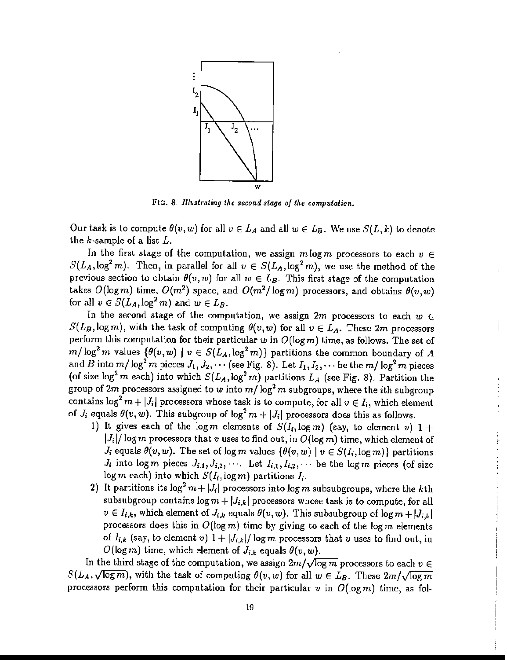

FIG. 8. *Illustrating the second stage of the computation.* 

Our task is to compute  $\theta(v, w)$  for all  $v \in L_A$  and all  $w \in L_B$ . We use  $S(L, k)$  to denote the k~sample of a list *L.*

In the first stage of the computation, we assign  $m \log m$  processors to each  $v \in$  $S(L_A, \log^2 m)$ . Then, in parallel for all  $v \in S(L_A, \log^2 m)$ , we use the method of the previous section to obtain  $\theta(v, w)$  for all  $w \in L_B$ . This first stage of the computation takes  $O(\log m)$  time,  $O(m^2)$  space, and  $O(m^2/\log m)$  processors, and obtains  $\theta(v,w)$ for all  $v \in S(L_A, \log^2 m)$  and  $w \in L_B$ .

In the second stage of the computation, we assign  $2m$  processors to each  $w \in$  $S(L_B, \log m)$ , with the task of computing  $\theta(v, w)$  for all  $v \in L_A$ . These 2m processors perform this computation for their particular *w* in O(1ogm) time, as follows. The set of  $m/\log^2 m$  values  $\{\theta(v,w) \mid v \in S(L_A, \log^2 m)\}$  partitions the common boundary of *A* and *B* into  $m/\log^2 m$  pieces  $J_1, J_2, \cdots$  (see Fig. 8). Let  $I_1, I_2, \cdots$  be the  $m/\log^2 m$  pieces (of size  $\log^2 m$  each) into which  $S(L_A, \log^2 m)$  partitions  $L_A$  (see Fig. 8). Partition the group of  $2m$  processors assigned to  $w$  into  $m/\log^2 m$  subgroups, where the *i*th subgroup contains  $\log^2 m + |J_i|$  processors whose task is to compute, for all  $v \in I_i$ , which element of  $J_i$  equals  $\theta(v, w)$ . This subgroup of  $\log^2 m + |J_i|$  processors does this as follows.

- 1) It gives each of the  $\log m$  elements of  $S(I_i, \log m)$  (say, to element v) 1 +  $|J_i|/log m$  processors that *v* uses to find out, in  $O(log m)$  time, which element of  $J_i$  equals  $\theta(v, w)$ . The set of log m values  $\{\theta(v, w) \mid v \in S(I_i, \log m)\}$  partitions  $J_i$  into log m pieces  $J_{i,1}, J_{i,2}, \cdots$ . Let  $I_{i,1}, I_{i,2}, \cdots$  be the log m pieces (of size  $\log m$  each) into which  $S(I_i, \log m)$  partitions  $I_i$ .
- 2) It partitions its  $\log^2 m + |J_i|$  processors into  $\log m$  subsubgroups, where the kth subsubgroup contains  $\log m + |J_{i,k}|$  processors whose task is to compute, for all  $v \in I_{i,k}$ , which element of  $J_{i,k}$  equals  $\theta(v,w)$ . This subsubgroup of  $\log m + |J_{i,k}|$ processors does this in  $O(\log m)$  time by giving to each of the logm elements of  $I_{i,k}$  (say, to element *v*)  $1 + |J_{i,k}| / \log m$  processors that *v* uses to find out, in  $O(\log m)$  time, which element of  $J_{i,k}$  equals  $\theta(v, w)$ .

In the third stage of the computation, we assign  $2m/\sqrt{\log m}$  processors to each  $v \in$  $S(L_A,\sqrt{\log m})$ , with the task of computing  $\theta(v,w)$  for all  $w \in L_B$ . These  $2m/\sqrt{\log m}$ processors perform this computation for their particular  $v$  in  $O(\log m)$  time, as fol-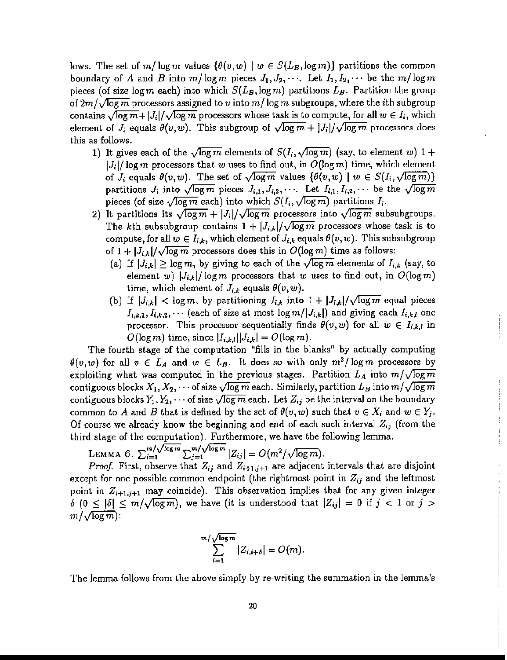lows. The set of  $m/\log m$  values  $\{\theta(v,w) \mid w \in S(L_B,\log m)\}\$  partitions the common boundary of A and B into  $m/\log m$  pieces  $J_1, J_2, \cdots$ . Let  $I_1, I_2, \cdots$  be the  $m/\log m$ pieces (of size  $\log m$  each) into which  $S(L_B, \log m)$  partitions  $L_B$ . Partition the group of  $2m/\sqrt{\log m}$  processors assigned to *v* into  $m/\log m$  subgroups, where the *i*th subgroup contains  $\sqrt{\log m} + |J_i|/\sqrt{\log m}$  processors whose task is to compute, for all  $w \in I_i$ , which element of  $J_i$  equals  $\theta(v,w)$ . This subgroup of  $\sqrt{\log m} + |J_i|/\sqrt{\log m}$  processors does this as follows.

- 1) It gives each of the  $\sqrt{\log m}$  elements of  $S(I_i,\sqrt{\log m})$  (say, to element w)  $1 +$  $|J_i|/\log m$  processors that *w* uses to find out, in  $O(\log m)$  time, which element of  $J_i$  equals  $\theta(v,w)$ . The set of  $\sqrt{\log m}$  values  $\{\theta(v,w) \mid w \in S(I_i,\sqrt{\log m})\}$ partitions  $J_i$  into  $\sqrt{\log m}$  pieces  $J_{i,1}, J_{i,2}, \cdots$  Let  $I_{i,1}, I_{i,2}, \cdots$  be the  $\sqrt{\log m}$ pieces (of size  $\sqrt{\log m}$  each) into which  $S(I_i, \sqrt{\log m})$  partitions  $I_i$ .
- 2) It partitions its  $\sqrt{\log m} + |J_i| / \sqrt{\log m}$  processors into  $\sqrt{\log m}$  subsubgroups. The kth subsubgroup contains  $1 + |J_{i,k}|/\sqrt{\log m}$  processors whose task is to compute, for all  $w \in I_{i,k}$ , which element of  $J_{i,k}$  equals  $\theta(v,w)$ . This subsubgroup of  $1+|J_{i,k}|/\sqrt{\log m}$  processors does this in  $O(\log m)$  time as follows:
	- (a) If  $|J_{i,k}| \geq \log m$ , by giving to each of the  $\sqrt{\log m}$  elements of  $I_{i,k}$  (say, to element *w*)  $|J_{i,k}|/log m$  processors that *w* uses to find out, in  $O(log m)$ time, which element of  $J_{i,k}$  equals  $\theta(v,w)$ .
	- (b) If  $|J_{i,k}| < \log m$ , by partitioning  $I_{i,k}$  into  $1 + |J_{i,k}|/\sqrt{\log m}$  equal pieces  $I_{i,k,1}, I_{i,k,2}, \cdots$  (each of size at most log  $m/|J_{i,k}|$ ) and giving each  $I_{i,k,l}$  one processor. This processor sequentially finds  $\theta(v, w)$  for all  $w \in I_{i,k,l}$  in  $O(\log m)$  time, since  $|I_{i,k,l}| |J_{i,k}| = O(\log m)$ .

The fourth stage of the computation "fills in the blanks" by actually computing  $\theta(v,w)$  for all  $v \in L_A$  and  $w \in L_B$ . It does so with only  $m^2/\log m$  processors by exploiting what was computed in the previous stages. Partition  $L_A$  into  $m/\sqrt{\log m}$ contiguous blocks  $X_1, X_2, \cdots$  of size  $\sqrt{\log m}$  each. Similarly, partition  $L_B$  into  $m/\sqrt{\log m}$ contiguous blocks  $Y_1, Y_2, \cdots$  of size  $\sqrt{\log m}$  each. Let  $Z_{ij}$  be the interval on the boundary common to A and B that is defined by the set of  $\theta(v,w)$  such that  $v \in X_i$  and  $w \in Y_j$ . Of course we already know the beginning and end of each such interval *Zii* (from the third stage of the computation). Furthermore, we have the following lemma.

LEMMA 6. 
$$
\sum_{i=1}^{m/\sqrt{\log m}} \sum_{j=1}^{m/\sqrt{\log m}} |Z_{ij}| = O(m^2/\sqrt{\log m}).
$$

*Proof.* First, observe that  $Z_{ij}$  and  $Z_{i+1,j+1}$  are adjacent intervals that are disjoint except for one possible common endpoint (the rightmost point in  $Z_{ij}$  and the leftmost point in *Zi+I.i+l* may coincide). This observation implies that for any given integer  $\delta$  ( $0 \leq |\delta| \leq m/\sqrt{\log m}$ ), we have (it is understood that  $|Z_{ij}| = 0$  if  $j < 1$  or  $j >$  $m/\sqrt{\log m}$ :

$$
\sum_{i=1}^{m/\sqrt{\log m}} |Z_{i,i+\delta}| = O(m).
$$

The lemma follows from the above simply by re-writing the summation in the lemma's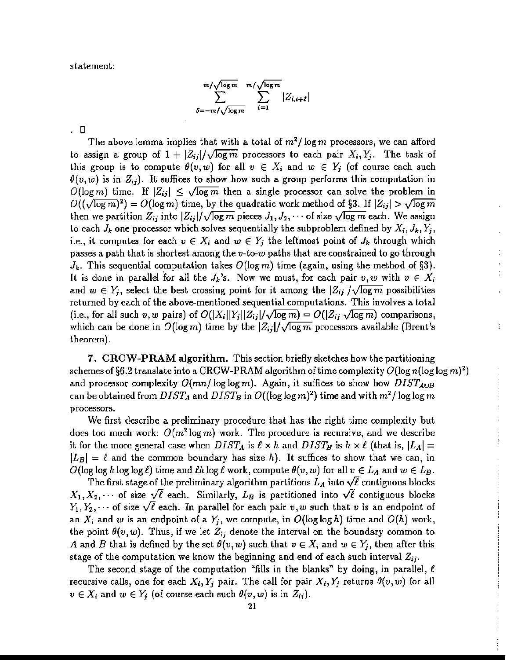statement:

$$
\sum_{\delta=-m/\sqrt{\log m}}^{m/\sqrt{\log m}} \sum_{i=1}^{\lfloor m/\sqrt{\log m} \rfloor} |Z_{i,i+\delta}|
$$

. 0

The above lemma implies that with a total of  $m^2/\log m$  processors, we can afford to assign a group of  $1 + |Z_{ij}|/\sqrt{\log m}$  processors to each pair  $X_i, Y_j$ . The task of this group is to compute  $\theta(v, w)$  for all  $v \in X_i$  and  $w \in Y_j$  (of course each such  $\theta(v,w)$  is in  $Z_{ij}$ ). It suffices to show how such a group performs this computation in  $O(\log m)$  time. If  $|Z_{ij}| \leq \sqrt{\log m}$  then a single processor can solve the problem in  $O((\sqrt{\log m})^2) = O(\log m)$  time, by the quadratic work method of §3. If  $|Z_{ij}| > \sqrt{\log m}$ then we partition  $Z_{ij}$  into  $|Z_{ij}|/\sqrt{\log m}$  pieces  $J_1, J_2, \cdots$  of size  $\sqrt{\log m}$  each. We assign to each  $J_k$  one processor which solves sequentially the subproblem defined by  $X_i$ ,  $J_k$ ,  $Y_j$ , i.e., it computes for each  $v \in X_i$  and  $w \in Y_j$  the leftmost point of  $J_k$  through which passes a path that is shortest among the *v-to-w* paths that are constrained to go through  $J_k$ . This sequential computation takes  $O(\log m)$  time (again, using the method of §3). It is done in parallel for all the  $J_k$ 's. Now we must, for each pair  $v, w$  with  $v \in X_i$ and  $w \in Y_j$ , select the best crossing point for it among the  $|Z_{ij}|/\sqrt{\log m}$  possibilities returned by each of the above-mentioned sequential computations. This involves a total (i.e., for all such *v*, *w* pairs) of  $O(|X_i||Y_i||Z_{ij}|/\sqrt{\log m}) = O(|Z_{ij}|\sqrt{\log m})$  comparisons, which can be done in  $O(\log m)$  time by the  $|Z_{ij}|/\sqrt{\log m}$  processors available (Brent's theorem).

7. CRCW-PRAM algorithm. This section briefly sketches how the partitioning schemes of §6.2 translate into a CRCW-PRAM algorithm of time complexity  $O(\log n(\log \log m)^2)$ and processor complexity  $O(mn/\log\log m)$ . Again, it suffices to show how  $DIST_{A\cup B}$ can be obtained from  $DIST_A$  and  $DIST_B$  in  $O((\log \log m)^2)$  time and with  $m^2/\log \log m$ processors.

Ť.

We first describe a preliminary procedure that has the right time complexity but does too much work:  $O(m^2 \log m)$  work. The procedure is recursive, and we describe it for the more general case when  $DIST_A$  is  $\ell \times h$  and  $DIST_B$  is  $h \times \ell$  (that is,  $|L_A|$  =  $|L_B| = \ell$  and the common boundary has size h). It suffices to show that we can, in  $O(\log \log h \log \ell)$  time and  $\ell h \log \ell$  work, compute  $\theta(v, w)$  for all  $v \in L_A$  and  $w \in L_B$ .

The first stage of the preliminary algorithm partitions  $L_A$  into  $\sqrt{\ell}$  contiguous blocks  $X_1, X_2, \cdots$  of size  $\sqrt{\ell}$  each. Similarly,  $L_B$  is partitioned into  $\sqrt{\ell}$  contiguous blocks  $Y_1, Y_2, \cdots$  of size  $\sqrt{\ell}$  each. In parallel for each pair *v*, *w* such that *v* is an endpoint of an  $X_i$  and w is an endpoint of a  $Y_j$ , we compute, in  $O(\log \log h)$  time and  $O(h)$  work, the point  $\theta(v,w)$ . Thus, if we let  $Z_{ij}$  denote the interval on the boundary common to *A* and *B* that is defined by the set  $\theta(v, w)$  such that  $v \in X_i$  and  $w \in Y_i$ , then after this stage of the computation we know the beginning and end of each such interval  $Z_{ij}$ .

The second stage of the computation "fills in the blanks" by doing, in parallel, *e* recursive calls, one for each  $X_i, Y_j$  pair. The call for pair  $X_i, Y_j$  returns  $\theta(v, w)$  for all  $v \in X_i$  and  $w \in Y_j$  (of course each such  $\theta(v,w)$  is in  $Z_{ij}$ ).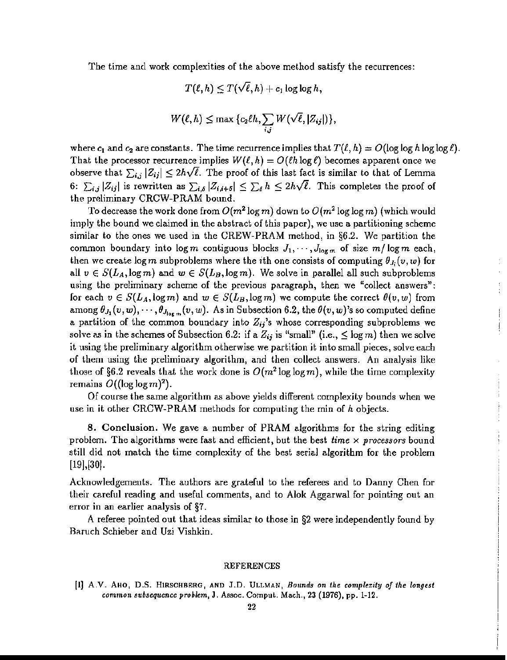The time and work complexities of the above method satisfy the recurrences:

$$
T(\ell,h)\leq T(\sqrt{\ell},h)+c_1\log\log h,
$$

$$
W(\ell,h)\leq \max\{c_2\ell h,\sum_{i,j}W(\sqrt{\ell},|Z_{ij}|)\},\
$$

where  $c_1$  and  $c_2$  are constants. The time recurrence implies that  $T(\ell, h) = O(\log \log h \log \log \ell)$ . That the processor recurrence implies  $W(\ell, h) = O(\ell h \log \ell)$  becomes apparent once we observe that  $\sum_{i,j} |Z_{ij}| \leq 2h\sqrt{\ell}$ . The proof of this last fact is similar to that of Lemma 6:  $\sum_{i,j} |Z_{ij}|$  is rewritten as  $\sum_{i,\delta} |Z_{i,i+\delta}| \leq \sum_{\delta} h \leq 2h\sqrt{\ell}$ . This completes the proof of the preliminary CRCW-PRAM bound.

To decrease the work done from  $O(m^2 \log m)$  down to  $O(m^2 \log \log m)$  (which would imply the bound we claimed in the abstract of this paper), we use a partitioning scheme similar to the ones we used in the CREW-PRAM method, in §6.2. We partition the common boundary into  $\log m$  contiguous blocks  $J_1, \dots, J_{\log m}$  of size  $m/\log m$  each, then we create  $\log m$  subproblems where the *i*th one consists of computing  $\theta_{J_i}(v, w)$  for all  $v \in S(L_A, \log m)$  and  $w \in S(L_B, \log m)$ . We solve in parallel all such subproblems using the preliminary scheme of the previous paragraph, then we "collect answers": for each  $v \in S(L_A, \log m)$  and  $w \in S(L_B, \log m)$  we compute the correct  $\theta(v, w)$  from among  $\theta_{J_1}(v,w),\cdots,\theta_{J_{\log m}}(v,w)$ . As in Subsection 6.2, the  $\theta(v,w)$ 's so computed define a partition of the common boundary into  $Z_{ij}$ 's whose corresponding subproblems we solve as in the schemes of Subsection 6.2: if a  $Z_{ij}$  is "small" (i.e.,  $\leq$  log m) then we solve it using the preliminary algorithm otherwise we partition it into small pieces, solve each of them using the preliminary algorithm, and then collect answers. An analysis like those of §6.2 reveals that the work done is  $O(m^2 \log \log m)$ , while the time complexity remains  $O((\log \log m)^2)$ .

Of course the same algorithm as above yields different complexity bounds when we use in it other CRCW-PRAM methods for computing the min of *h* objects.

8. Conclusion. We gave a number of PRAM algorithms for the string editing problem. The algorithms were fast and efficient, but the best *time* x *processors* bound still did not match the time complexity of the best serial algorithm for the problem  $[19]$ ,  $[30]$ .

Acknowledgements. The authors are grateful to the referees and to Danny Chen for their careful reading and useful comments, and to Alok Aggarwal for pointing out an error in an earlier analysis of §7.

A referee pointed out that ideas similar to those in §2 were independently found by Baruch Schieber and Uzi Vishkin.

#### REFERENCES

[1J A.V. AHO, D.S. HIRSCHBERG, AND J.D. ULLMAN, *Bounds on the complexity a/the longest common subsequence problem,* J. Assoc. Comput. Mach., 23 (1976), pp. 1-12.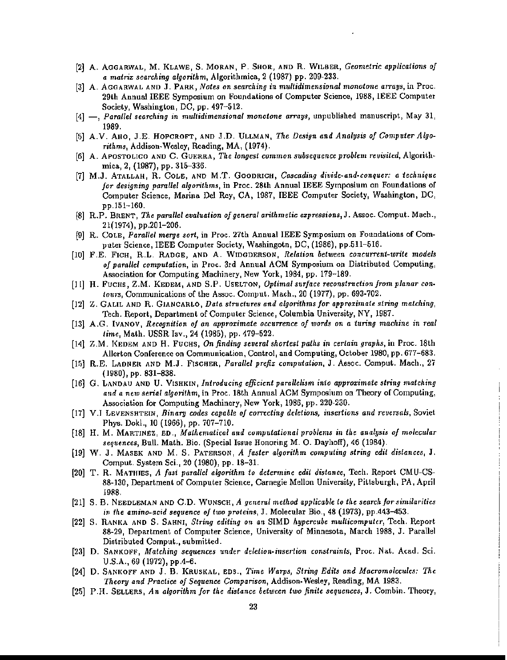- [2] A. AOGARWAL, M. KLAWE, S. MORAN, P. SHOR, AND R. WILBER, *Geometric applications of a matrix searching algorithm,* Algorithmica, 2 (1987) pp. 209-233.
- [3] A. AGGARWAL AND J. PARK, *Notes on searching* in *multidimensional monotone arrays,* in Proe. 29th Annual IEEE Symposium on Foundations of Computer Science, 1988, IEEE Computer Society, Washington, DC, pp. 497-512.
- [4] -, *Paratlel searching in multidimensional monotone arrays,* unpublished manuscript, May 31, 1989.
- [5] A.V. AHO, J.E. HOPCROFT, AND J.D. ULLMAN, *The Design and Analysis of ComputerAlgorithms,* Addison·Wesley, Reading, MA, (1974).
- [6] A. ApOSTOLICO AND C. GUERRA, *The longest common subsequence problem revisited,* Algorithmica, 2, (1987), pp. 315-336.
- [7] M.J. ATALLAH, R. COLE, AND M.T. GOODRICH, *CCl3cading divide-and-conquer: a techniqtle for designing parallel algorithms,* in Proc. 28th Annual IEEE Symposium on Foundations of Computer Science, Marina Del Rey, CA, 1987, IEEE Computer Society, Washington, DC, pp.151-160.
- [8] R.P. BRENT, *The parallel evaluation of general arithmetic expressions,* J. Assoc. Comput. Mach., 21(1974), pp.201-206.
- [9] R. COLE, *Parallel merye sorl,* in Proc. 27th Annual IEEE Symposium on Foundations of Computer Science, IEEE Computer Society, Washingotn, DC, (1986), pp.511-516.
- [10] F.E. FICH, R.L. RADGE, AND A. WIDGDERSON, *Relation between concurrent-write models of parallel computation,* in Proc. 3rd Annual ACM Symposium on Distributed Computing, Association for Computing Machinery, New York, 1984, pp. 179-189.
- [1l] H. FUCHS, Z.M. KEDEM, AND S.P. USELTON, *Optimal surface reconstruction from planar contours,* Communications of the Assoc. Comput. Mach., 20 (1977), pp. 693-702.
- [12] Z. GALIL AND R. GIANCARLO, *Data structures and algorithms for approximate string matching,* Tech. Report, Department of Computer Science, Columbia University, NY, 1987.
- [13] A.G. IVANOV, *Recognition 0/ an approximate occurrence of words on a turing machine in real lime,* Math. USSR Izv., 24 (1985), pp. 479-522.
- [14} Z.M. I(EDEM AND H. FUCHS, On *finding several shortest paths* in *cerlain graphs,* in Proc. 18th Allerton Conference on Communication, Control, and Computing, October 1980, pp. 677-683.
- [Hi] R.E. LADNER AND M.J. FISCHER, *Parallel prefix computation,* J. Assoc. Comput. Mach., 2i (1980),pp.831-838.
- [16] G. LANDAU AND U. VISHKIN, *Introducing efficient parallelism into approximate string matching and a new serial algorithm,* in Proe. 18th Annual ACM Symposium on Theory ofComputing, Association for Computing Machinery, New York, 1986, pp. 220-230.
- [17] V.I LE:VENSHTEIN, *Binary codes capable of corrtcting deletions, inserlions and reversals,* Soviet Phys. Dokl., 10 (1966), pp. 707-710.
- [18] H. M. MARTINEZ, ED., *Mathematical and computational problems* in *the analysis of molecular sequences,* Bull. Math. Bio. (Special Issue Honoring M. O. Dayhoff), 46 (1984).
- [19] W. J. MASEK AND M. S. PATERSON, *A faster algorithm computing string edit distances,* J. Comput. System Sci., 20 (1980), pp. 18-31.
- [20] T. R. MATHIES, *A fast parallel algorithm to detennine edit distance,* Tech. Report CMU-CS-88-130, Department of Computer Science, Carnegie Mellon University, Pittsburgh, PA, April 1988.
- [21] S. B. NEEDLEMAN AND C.D. WUNSCH, *A general method applicable to the search/orsimilarities in the amino-acid sequence of two proteins*, J. Molecular Bio., 48 (1973), pp.443-453.
- [22] S. RANI{A AND S. SAHNI, *String editing on an* SIMD *hypercube multicomputer,* Tech. Report 88-29, Department of Computer Science, University of Minnesota, March 1988, J. Parallel Distributed Comput., submitted.
- [23] D. SANKOFF, *Matching sequences under deletion-insertion constraints,* Proc. Nat. Acad. Sci. U.S.A., 69 (1972), pp.4-6.
- [24] D. SANKOFF AND J. B. KRUSKAL, 80S., *Time Warps, String Edits and Macromolecules: The Theory and Practice of Sequence Comparison,* Addison-Wesley, Reading, MA 1983.
- [25] P.H. SELLERS, *An algorithm for the distance between two finite sequences,* J. Combin. Theory,